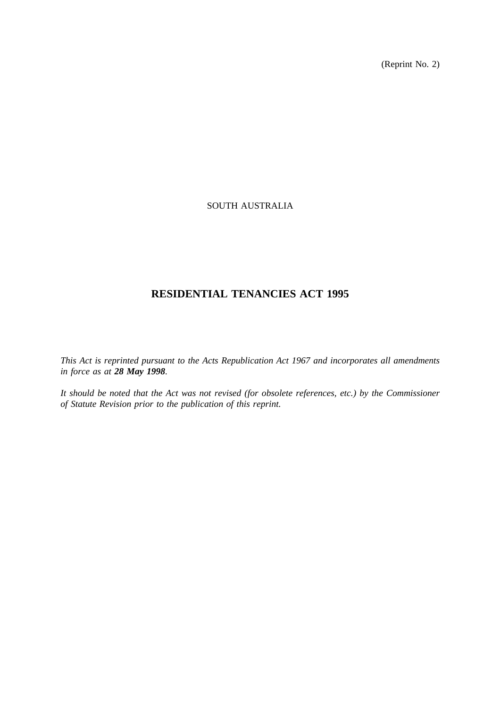(Reprint No. 2)

# SOUTH AUSTRALIA

# **RESIDENTIAL TENANCIES ACT 1995**

*This Act is reprinted pursuant to the Acts Republication Act 1967 and incorporates all amendments in force as at 28 May 1998.*

*It should be noted that the Act was not revised (for obsolete references, etc.) by the Commissioner of Statute Revision prior to the publication of this reprint.*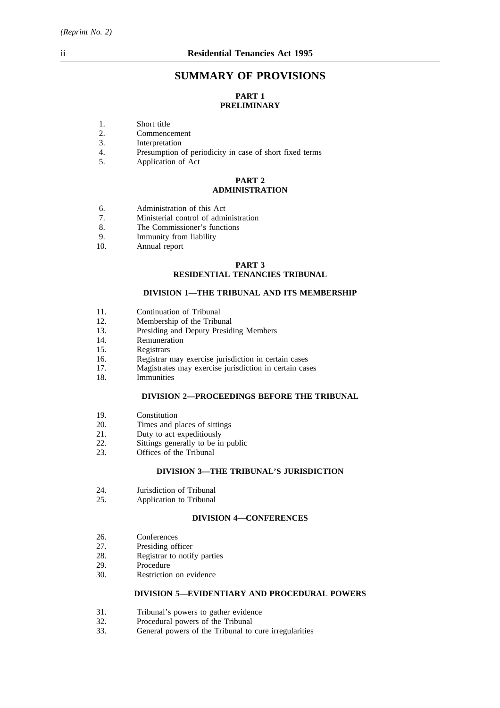# **SUMMARY OF PROVISIONS**

# **PART 1 PRELIMINARY**

- 1. Short title<br>2. Commence
- 2. Commencement<br>3. Interpretation
- 3. Interpretation<br>4. Presumption
- 4. Presumption of periodicity in case of short fixed terms<br>5. Application of Act
- Application of Act

### **PART 2 ADMINISTRATION**

- 6. Administration of this Act<br>
7. Ministerial control of admi
- 7. Ministerial control of administration<br>8 The Commissioner's functions
- The Commissioner's functions
- 9. Immunity from liability
- 10. Annual report

# **PART 3 RESIDENTIAL TENANCIES TRIBUNAL**

#### **DIVISION 1—THE TRIBUNAL AND ITS MEMBERSHIP**

- 11. Continuation of Tribunal
- 12. Membership of the Tribunal
- 13. Presiding and Deputy Presiding Members
- 14. Remuneration
- 15. Registrars
- 16. Registrar may exercise jurisdiction in certain cases
- 17. Magistrates may exercise jurisdiction in certain cases
- 18. Immunities

#### **DIVISION 2—PROCEEDINGS BEFORE THE TRIBUNAL**

- 19. Constitution
- 20. Times and places of sittings
- 21. Duty to act expeditiously<br>22. Sittings generally to be in
- 22. Sittings generally to be in public<br>23. Offices of the Tribunal
- Offices of the Tribunal

### **DIVISION 3—THE TRIBUNAL'S JURISDICTION**

- 24. **Jurisdiction of Tribunal**<br>25. **Application to Tribunal**
- Application to Tribunal

### **DIVISION 4—CONFERENCES**

- 26. Conferences<br>27. Presiding of
- 
- 27. Presiding officer<br>28. Registrar to notif 28. Registrar to notify parties<br>29. Procedure
- Procedure
- 30. Restriction on evidence

### **DIVISION 5—EVIDENTIARY AND PROCEDURAL POWERS**

- 31. Tribunal's powers to gather evidence<br>32. Procedural nowers of the Tribunal
- 32. Procedural powers of the Tribunal 33. General powers of the Tribunal to
- General powers of the Tribunal to cure irregularities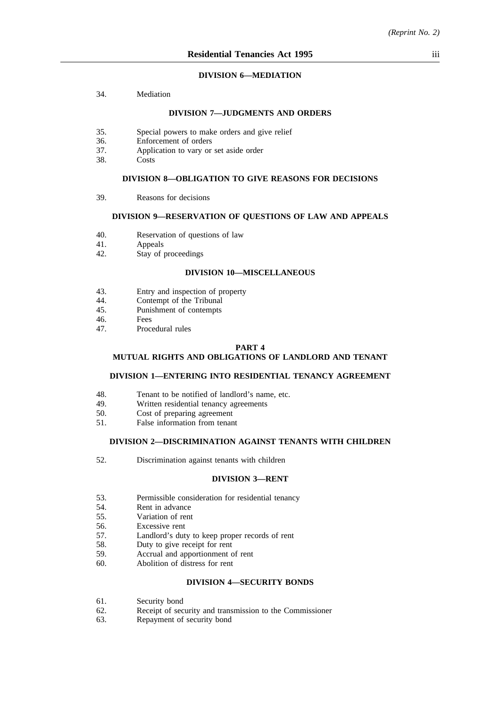### **DIVISION 6—MEDIATION**

34. Mediation

#### **DIVISION 7—JUDGMENTS AND ORDERS**

- 35. Special powers to make orders and give relief
- 36. Enforcement of orders
- 37. Application to vary or set aside order
- 38. Costs

#### **DIVISION 8—OBLIGATION TO GIVE REASONS FOR DECISIONS**

39. Reasons for decisions

### **DIVISION 9—RESERVATION OF QUESTIONS OF LAW AND APPEALS**

- 40. Reservation of questions of law<br>41. Appeals
- **Appeals**
- 42. Stay of proceedings

### **DIVISION 10—MISCELLANEOUS**

- 43. Entry and inspection of property<br>44. Contempt of the Tribunal
- 44. Contempt of the Tribunal<br>45 Punishment of contempts
- 45. Punishment of contempts<br>46
- 46. Fees<br>47 Proce
- Procedural rules

#### **PART 4**

### **MUTUAL RIGHTS AND OBLIGATIONS OF LANDLORD AND TENANT**

#### **DIVISION 1—ENTERING INTO RESIDENTIAL TENANCY AGREEMENT**

- 48. Tenant to be notified of landlord's name, etc.<br>49. Written residential tenancy agreements
- Written residential tenancy agreements
- 50. Cost of preparing agreement
- 51. False information from tenant

#### **DIVISION 2—DISCRIMINATION AGAINST TENANTS WITH CHILDREN**

52. Discrimination against tenants with children

#### **DIVISION 3—RENT**

- 53. Permissible consideration for residential tenancy
- 54. Rent in advance
- 55. Variation of rent
- 56. Excessive rent
- 57. Landlord's duty to keep proper records of rent
- 58. Duty to give receipt for rent
- 59. Accrual and apportionment of rent
- 60. Abolition of distress for rent

## **DIVISION 4—SECURITY BONDS**

- 61. Security bond
- 62. Receipt of security and transmission to the Commissioner
- 63. Repayment of security bond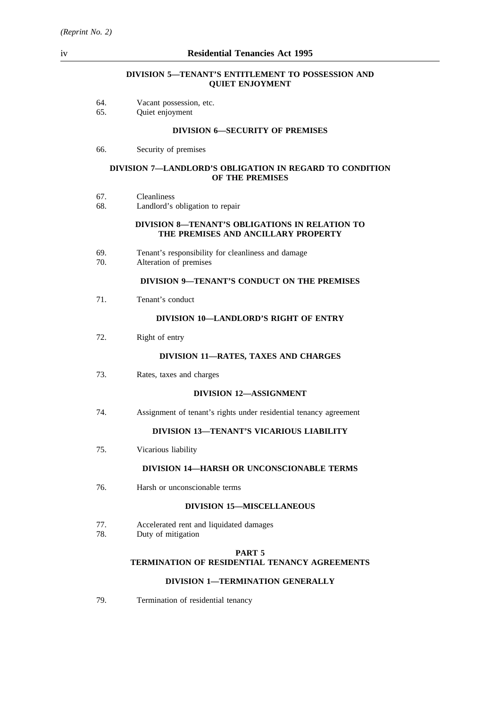### **DIVISION 5—TENANT'S ENTITLEMENT TO POSSESSION AND QUIET ENJOYMENT**

| 64.<br>Vacant possession, etc. |  |
|--------------------------------|--|
|--------------------------------|--|

65. Quiet enjoyment

#### **DIVISION 6—SECURITY OF PREMISES**

66. Security of premises

#### **DIVISION 7—LANDLORD'S OBLIGATION IN REGARD TO CONDITION OF THE PREMISES**

- 67. Cleanliness
- 68. Landlord's obligation to repair

### **DIVISION 8—TENANT'S OBLIGATIONS IN RELATION TO THE PREMISES AND ANCILLARY PROPERTY**

- 69. Tenant's responsibility for cleanliness and damage
- Alteration of premises

# **DIVISION 9—TENANT'S CONDUCT ON THE PREMISES**

71. Tenant's conduct

### **DIVISION 10—LANDLORD'S RIGHT OF ENTRY**

72. Right of entry

### **DIVISION 11—RATES, TAXES AND CHARGES**

73. Rates, taxes and charges

#### **DIVISION 12—ASSIGNMENT**

74. Assignment of tenant's rights under residential tenancy agreement

# **DIVISION 13—TENANT'S VICARIOUS LIABILITY**

75. Vicarious liability

#### **DIVISION 14—HARSH OR UNCONSCIONABLE TERMS**

76. Harsh or unconscionable terms

# **DIVISION 15—MISCELLANEOUS**

- 77. Accelerated rent and liquidated damages
- 78. Duty of mitigation

#### **PART 5**

# **TERMINATION OF RESIDENTIAL TENANCY AGREEMENTS**

### **DIVISION 1—TERMINATION GENERALLY**

79. Termination of residential tenancy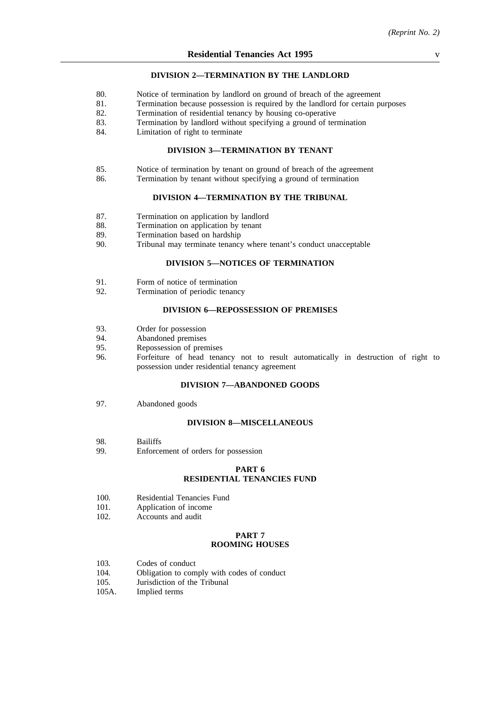#### **DIVISION 2—TERMINATION BY THE LANDLORD**

- 80. Notice of termination by landlord on ground of breach of the agreement
- 81. Termination because possession is required by the landlord for certain purposes
- 82. Termination of residential tenancy by housing co-operative
- 83. Termination by landlord without specifying a ground of termination
- 84. Limitation of right to terminate

#### **DIVISION 3—TERMINATION BY TENANT**

- 85. Notice of termination by tenant on ground of breach of the agreement
- 86. Termination by tenant without specifying a ground of termination

### **DIVISION 4—TERMINATION BY THE TRIBUNAL**

- 87. Termination on application by landlord<br>88. Termination on application by tenant
- 88. Termination on application by tenant<br>89. Termination based on hardship
- 89. Termination based on hardship<br>90. Tribunal may terminate tenancy
- Tribunal may terminate tenancy where tenant's conduct unacceptable

## **DIVISION 5—NOTICES OF TERMINATION**

- 91. Form of notice of termination<br>92. Termination of periodic tenanc
- Termination of periodic tenancy

# **DIVISION 6—REPOSSESSION OF PREMISES**

- 93. Order for possession
- 94. Abandoned premises
- 95. Repossession of premises
- 96. Forfeiture of head tenancy not to result automatically in destruction of right to possession under residential tenancy agreement

#### **DIVISION 7—ABANDONED GOODS**

97. Abandoned goods

#### **DIVISION 8—MISCELLANEOUS**

- 98. Bailiffs
- 99. Enforcement of orders for possession

#### **PART 6 RESIDENTIAL TENANCIES FUND**

- 100. Residential Tenancies Fund
- 101. Application of income
- 102. Accounts and audit

#### **PART 7 ROOMING HOUSES**

- 103. Codes of conduct
- 104. Obligation to comply with codes of conduct
- 105. Jurisdiction of the Tribunal
- 105A. Implied terms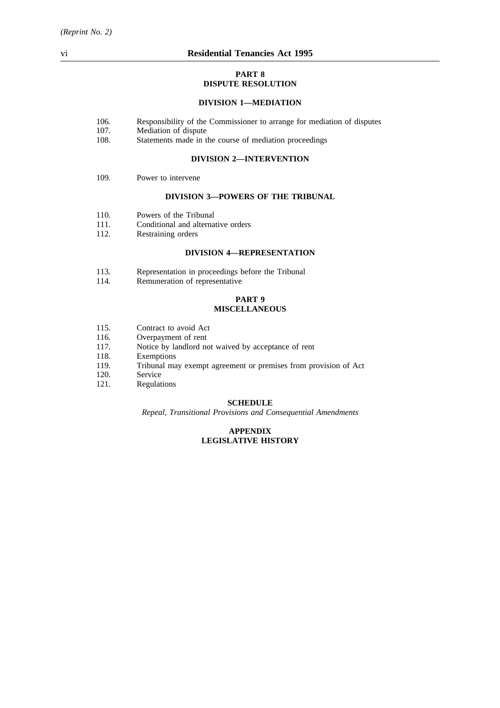#### **PART 8 DISPUTE RESOLUTION**

# **DIVISION 1—MEDIATION**

- 106. Responsibility of the Commissioner to arrange for mediation of disputes
- 107. Mediation of dispute
- 108. Statements made in the course of mediation proceedings

#### **DIVISION 2—INTERVENTION**

109. Power to intervene

#### **DIVISION 3—POWERS OF THE TRIBUNAL**

- 110. Powers of the Tribunal
- 111. Conditional and alternative orders<br>112. Restraining orders
- Restraining orders

### **DIVISION 4—REPRESENTATION**

- 113. Representation in proceedings before the Tribunal 114. Remuneration of representative
- Remuneration of representative

## **PART 9 MISCELLANEOUS**

- 115. Contract to avoid Act
- 116. Overpayment of rent<br>117. Notice by landlord no
- Notice by landlord not waived by acceptance of rent
- 118. Exemptions
- 119. Tribunal may exempt agreement or premises from provision of Act
- 120. Service
- 121. Regulations

#### **SCHEDULE**

*Repeal, Transitional Provisions and Consequential Amendments*

## **APPENDIX LEGISLATIVE HISTORY**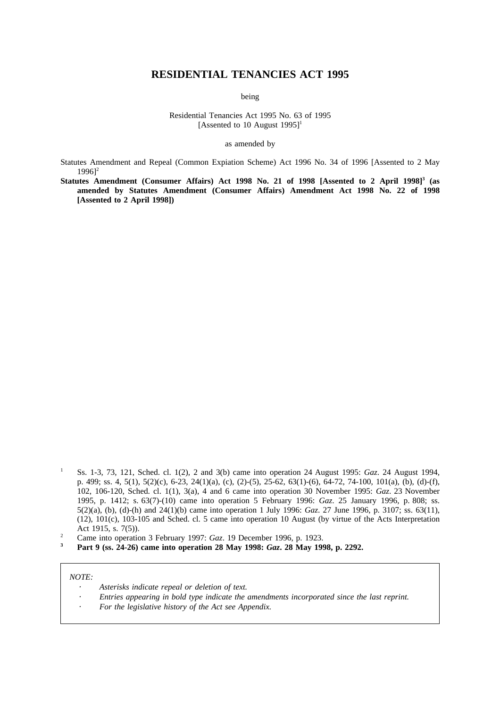# **RESIDENTIAL TENANCIES ACT 1995**

being

Residential Tenancies Act 1995 No. 63 of 1995 [Assented to 10 August  $1995$ ]<sup>1</sup>

as amended by

Statutes Amendment and Repeal (Common Expiation Scheme) Act 1996 No. 34 of 1996 [Assented to 2 May  $19961^2$ 

Statutes Amendment (Consumer Affairs) Act 1998 No. 21 of 1998 [Assented to 2 April 1998]<sup>3</sup> (as **amended by Statutes Amendment (Consumer Affairs) Amendment Act 1998 No. 22 of 1998 [Assented to 2 April 1998])**

**<sup>3</sup> Part 9 (ss. 24-26) came into operation 28 May 1998:** *Gaz***. 28 May 1998, p. 2292.**

### *NOTE:*

- *Asterisks indicate repeal or deletion of text.*
- *Entries appearing in bold type indicate the amendments incorporated since the last reprint.*
- *For the legislative history of the Act see Appendix.*

<sup>1</sup> Ss. 1-3, 73, 121, Sched. cl. 1(2), 2 and 3(b) came into operation 24 August 1995: *Gaz*. 24 August 1994, p. 499; ss. 4, 5(1), 5(2)(c), 6-23, 24(1)(a), (c), (2)-(5), 25-62, 63(1)-(6), 64-72, 74-100, 101(a), (b), (d)-(f), 102, 106-120, Sched. cl. 1(1), 3(a), 4 and 6 came into operation 30 November 1995: *Gaz*. 23 November 1995, p. 1412; s. 63(7)-(10) came into operation 5 February 1996: *Gaz*. 25 January 1996, p. 808; ss. 5(2)(a), (b), (d)-(h) and 24(1)(b) came into operation 1 July 1996: *Gaz*. 27 June 1996, p. 3107; ss. 63(11), (12), 101(c), 103-105 and Sched. cl. 5 came into operation 10 August (by virtue of the Acts Interpretation Act 1915, s. 7(5)).

<sup>&</sup>lt;sup>2</sup> Came into operation 3 February 1997: *Gaz*. 19 December 1996, p. 1923.<br><sup>3</sup> Dant 0 (se 24.26) came into operation 28 May 1908: *Gaz*. 28 May 190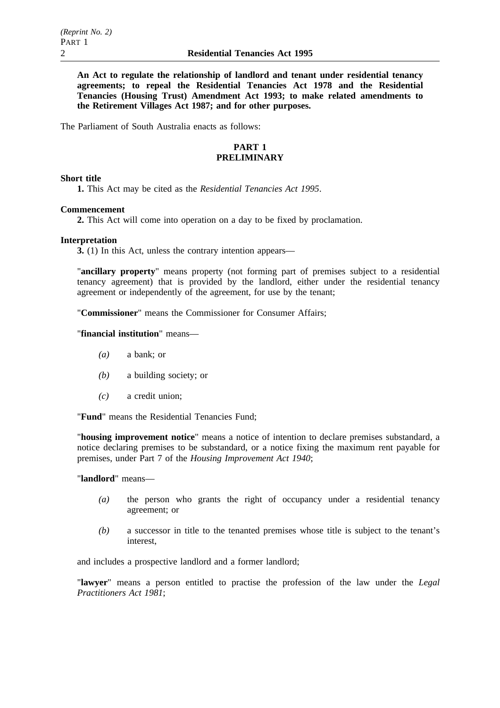**An Act to regulate the relationship of landlord and tenant under residential tenancy agreements; to repeal the Residential Tenancies Act 1978 and the Residential Tenancies (Housing Trust) Amendment Act 1993; to make related amendments to the Retirement Villages Act 1987; and for other purposes.**

The Parliament of South Australia enacts as follows:

# **PART 1 PRELIMINARY**

# **Short title**

**1.** This Act may be cited as the *Residential Tenancies Act 1995*.

# **Commencement**

**2.** This Act will come into operation on a day to be fixed by proclamation.

# **Interpretation**

**3.** (1) In this Act, unless the contrary intention appears—

"**ancillary property**" means property (not forming part of premises subject to a residential tenancy agreement) that is provided by the landlord, either under the residential tenancy agreement or independently of the agreement, for use by the tenant;

"**Commissioner**" means the Commissioner for Consumer Affairs;

# "**financial institution**" means—

- *(a)* a bank; or
- *(b)* a building society; or
- *(c)* a credit union;

"**Fund**" means the Residential Tenancies Fund;

"**housing improvement notice**" means a notice of intention to declare premises substandard, a notice declaring premises to be substandard, or a notice fixing the maximum rent payable for premises, under Part 7 of the *Housing Improvement Act 1940*;

"**landlord**" means—

- *(a)* the person who grants the right of occupancy under a residential tenancy agreement; or
- *(b)* a successor in title to the tenanted premises whose title is subject to the tenant's interest,

and includes a prospective landlord and a former landlord;

"**lawyer**" means a person entitled to practise the profession of the law under the *Legal Practitioners Act 1981*;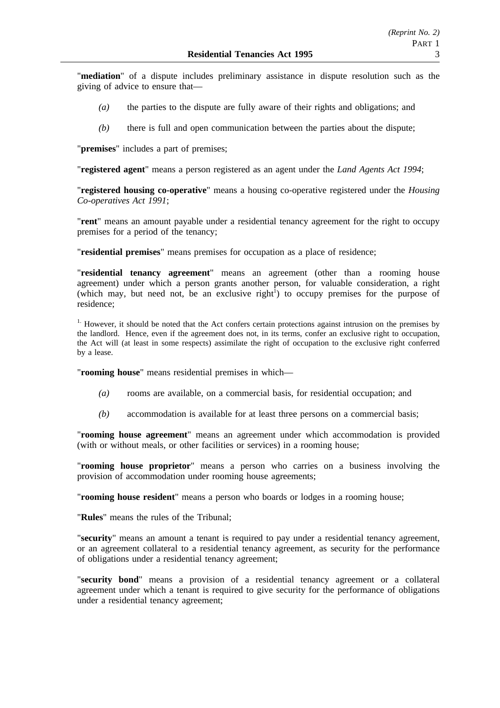"**mediation**" of a dispute includes preliminary assistance in dispute resolution such as the giving of advice to ensure that—

- *(a)* the parties to the dispute are fully aware of their rights and obligations; and
- *(b)* there is full and open communication between the parties about the dispute;

"**premises**" includes a part of premises;

"**registered agent**" means a person registered as an agent under the *Land Agents Act 1994*;

"**registered housing co-operative**" means a housing co-operative registered under the *Housing Co-operatives Act 1991*;

"**rent**" means an amount payable under a residential tenancy agreement for the right to occupy premises for a period of the tenancy;

"**residential premises**" means premises for occupation as a place of residence;

"**residential tenancy agreement**" means an agreement (other than a rooming house agreement) under which a person grants another person, for valuable consideration, a right (which may, but need not, be an exclusive right<sup>1</sup>) to occupy premises for the purpose of residence;

<sup>1.</sup> However, it should be noted that the Act confers certain protections against intrusion on the premises by the landlord. Hence, even if the agreement does not, in its terms, confer an exclusive right to occupation, the Act will (at least in some respects) assimilate the right of occupation to the exclusive right conferred by a lease.

"**rooming house**" means residential premises in which—

- *(a)* rooms are available, on a commercial basis, for residential occupation; and
- *(b)* accommodation is available for at least three persons on a commercial basis;

"**rooming house agreement**" means an agreement under which accommodation is provided (with or without meals, or other facilities or services) in a rooming house;

"**rooming house proprietor**" means a person who carries on a business involving the provision of accommodation under rooming house agreements;

"**rooming house resident**" means a person who boards or lodges in a rooming house;

"**Rules**" means the rules of the Tribunal;

"**security**" means an amount a tenant is required to pay under a residential tenancy agreement, or an agreement collateral to a residential tenancy agreement, as security for the performance of obligations under a residential tenancy agreement;

"**security bond**" means a provision of a residential tenancy agreement or a collateral agreement under which a tenant is required to give security for the performance of obligations under a residential tenancy agreement;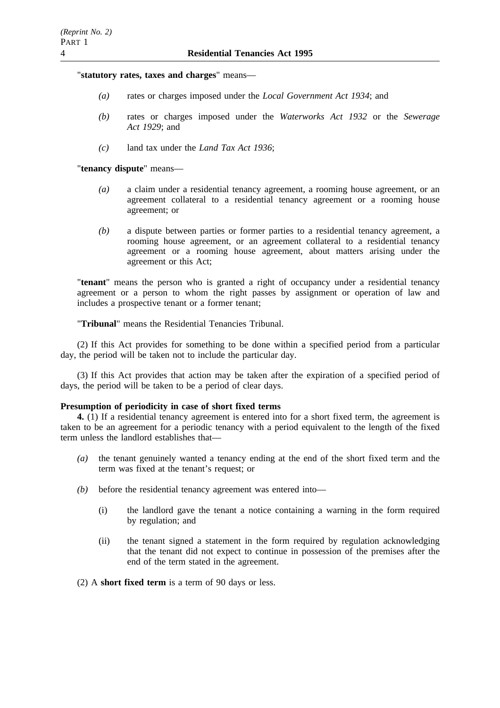"**statutory rates, taxes and charges**" means—

- *(a)* rates or charges imposed under the *Local Government Act 1934*; and
- *(b)* rates or charges imposed under the *Waterworks Act 1932* or the *Sewerage Act 1929*; and
- *(c)* land tax under the *Land Tax Act 1936*;

"**tenancy dispute**" means—

- *(a)* a claim under a residential tenancy agreement, a rooming house agreement, or an agreement collateral to a residential tenancy agreement or a rooming house agreement; or
- *(b)* a dispute between parties or former parties to a residential tenancy agreement, a rooming house agreement, or an agreement collateral to a residential tenancy agreement or a rooming house agreement, about matters arising under the agreement or this Act;

"**tenant**" means the person who is granted a right of occupancy under a residential tenancy agreement or a person to whom the right passes by assignment or operation of law and includes a prospective tenant or a former tenant;

"**Tribunal**" means the Residential Tenancies Tribunal.

(2) If this Act provides for something to be done within a specified period from a particular day, the period will be taken not to include the particular day.

(3) If this Act provides that action may be taken after the expiration of a specified period of days, the period will be taken to be a period of clear days.

### **Presumption of periodicity in case of short fixed terms**

**4.** (1) If a residential tenancy agreement is entered into for a short fixed term, the agreement is taken to be an agreement for a periodic tenancy with a period equivalent to the length of the fixed term unless the landlord establishes that—

- *(a)* the tenant genuinely wanted a tenancy ending at the end of the short fixed term and the term was fixed at the tenant's request; or
- *(b)* before the residential tenancy agreement was entered into—
	- (i) the landlord gave the tenant a notice containing a warning in the form required by regulation; and
	- (ii) the tenant signed a statement in the form required by regulation acknowledging that the tenant did not expect to continue in possession of the premises after the end of the term stated in the agreement.

(2) A **short fixed term** is a term of 90 days or less.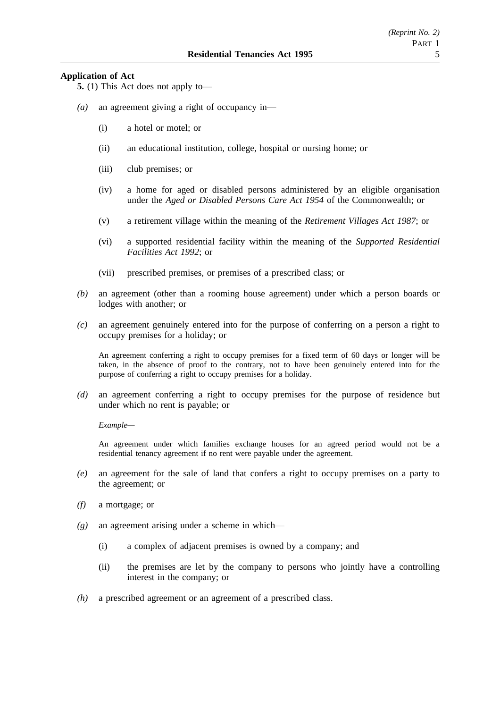# **Application of Act**

**5.** (1) This Act does not apply to—

- *(a)* an agreement giving a right of occupancy in—
	- (i) a hotel or motel; or
	- (ii) an educational institution, college, hospital or nursing home; or
	- (iii) club premises; or
	- (iv) a home for aged or disabled persons administered by an eligible organisation under the *Aged or Disabled Persons Care Act 1954* of the Commonwealth; or
	- (v) a retirement village within the meaning of the *Retirement Villages Act 1987*; or
	- (vi) a supported residential facility within the meaning of the *Supported Residential Facilities Act 1992*; or
	- (vii) prescribed premises, or premises of a prescribed class; or
- *(b)* an agreement (other than a rooming house agreement) under which a person boards or lodges with another; or
- *(c)* an agreement genuinely entered into for the purpose of conferring on a person a right to occupy premises for a holiday; or

An agreement conferring a right to occupy premises for a fixed term of 60 days or longer will be taken, in the absence of proof to the contrary, not to have been genuinely entered into for the purpose of conferring a right to occupy premises for a holiday.

*(d)* an agreement conferring a right to occupy premises for the purpose of residence but under which no rent is payable; or

*Example—*

An agreement under which families exchange houses for an agreed period would not be a residential tenancy agreement if no rent were payable under the agreement.

- *(e)* an agreement for the sale of land that confers a right to occupy premises on a party to the agreement; or
- *(f)* a mortgage; or
- *(g)* an agreement arising under a scheme in which—
	- (i) a complex of adjacent premises is owned by a company; and
	- (ii) the premises are let by the company to persons who jointly have a controlling interest in the company; or
- *(h)* a prescribed agreement or an agreement of a prescribed class.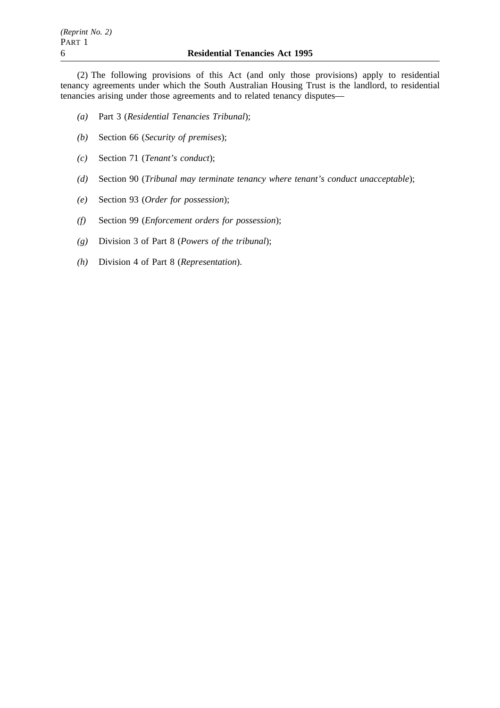(2) The following provisions of this Act (and only those provisions) apply to residential tenancy agreements under which the South Australian Housing Trust is the landlord, to residential tenancies arising under those agreements and to related tenancy disputes—

- *(a)* Part 3 (*Residential Tenancies Tribunal*);
- *(b)* Section 66 (*Security of premises*);
- *(c)* Section 71 (*Tenant's conduct*);
- *(d)* Section 90 (*Tribunal may terminate tenancy where tenant's conduct unacceptable*);
- *(e)* Section 93 (*Order for possession*);
- *(f)* Section 99 (*Enforcement orders for possession*);
- *(g)* Division 3 of Part 8 (*Powers of the tribunal*);
- *(h)* Division 4 of Part 8 (*Representation*).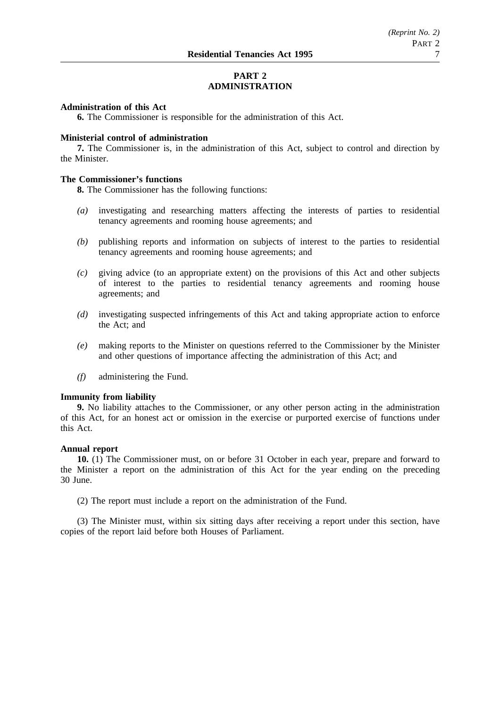# **PART 2 ADMINISTRATION**

### **Administration of this Act**

**6.** The Commissioner is responsible for the administration of this Act.

### **Ministerial control of administration**

**7.** The Commissioner is, in the administration of this Act, subject to control and direction by the Minister.

# **The Commissioner's functions**

**8.** The Commissioner has the following functions:

- *(a)* investigating and researching matters affecting the interests of parties to residential tenancy agreements and rooming house agreements; and
- *(b)* publishing reports and information on subjects of interest to the parties to residential tenancy agreements and rooming house agreements; and
- *(c)* giving advice (to an appropriate extent) on the provisions of this Act and other subjects of interest to the parties to residential tenancy agreements and rooming house agreements; and
- *(d)* investigating suspected infringements of this Act and taking appropriate action to enforce the Act; and
- *(e)* making reports to the Minister on questions referred to the Commissioner by the Minister and other questions of importance affecting the administration of this Act; and
- *(f)* administering the Fund.

#### **Immunity from liability**

**9.** No liability attaches to the Commissioner, or any other person acting in the administration of this Act, for an honest act or omission in the exercise or purported exercise of functions under this Act.

### **Annual report**

**10.** (1) The Commissioner must, on or before 31 October in each year, prepare and forward to the Minister a report on the administration of this Act for the year ending on the preceding 30 June.

(2) The report must include a report on the administration of the Fund.

(3) The Minister must, within six sitting days after receiving a report under this section, have copies of the report laid before both Houses of Parliament.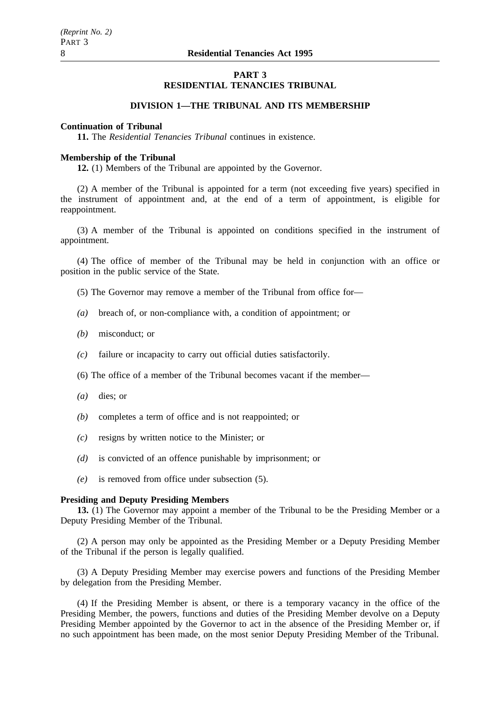### **PART 3 RESIDENTIAL TENANCIES TRIBUNAL**

# **DIVISION 1—THE TRIBUNAL AND ITS MEMBERSHIP**

# **Continuation of Tribunal**

**11.** The *Residential Tenancies Tribunal* continues in existence.

#### **Membership of the Tribunal**

**12.** (1) Members of the Tribunal are appointed by the Governor.

(2) A member of the Tribunal is appointed for a term (not exceeding five years) specified in the instrument of appointment and, at the end of a term of appointment, is eligible for reappointment.

(3) A member of the Tribunal is appointed on conditions specified in the instrument of appointment.

(4) The office of member of the Tribunal may be held in conjunction with an office or position in the public service of the State.

- (5) The Governor may remove a member of the Tribunal from office for—
- *(a)* breach of, or non-compliance with, a condition of appointment; or
- *(b)* misconduct; or
- *(c)* failure or incapacity to carry out official duties satisfactorily.
- (6) The office of a member of the Tribunal becomes vacant if the member—
- *(a)* dies; or
- *(b)* completes a term of office and is not reappointed; or
- *(c)* resigns by written notice to the Minister; or
- *(d)* is convicted of an offence punishable by imprisonment; or
- *(e)* is removed from office under subsection (5).

#### **Presiding and Deputy Presiding Members**

**13.** (1) The Governor may appoint a member of the Tribunal to be the Presiding Member or a Deputy Presiding Member of the Tribunal.

(2) A person may only be appointed as the Presiding Member or a Deputy Presiding Member of the Tribunal if the person is legally qualified.

(3) A Deputy Presiding Member may exercise powers and functions of the Presiding Member by delegation from the Presiding Member.

(4) If the Presiding Member is absent, or there is a temporary vacancy in the office of the Presiding Member, the powers, functions and duties of the Presiding Member devolve on a Deputy Presiding Member appointed by the Governor to act in the absence of the Presiding Member or, if no such appointment has been made, on the most senior Deputy Presiding Member of the Tribunal.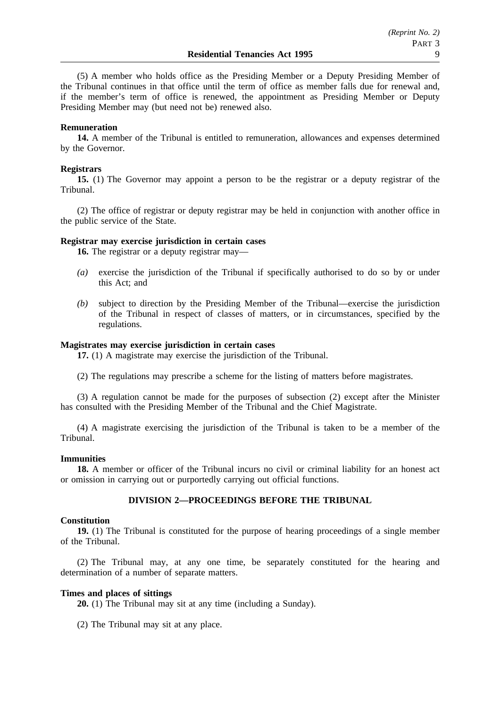(5) A member who holds office as the Presiding Member or a Deputy Presiding Member of the Tribunal continues in that office until the term of office as member falls due for renewal and, if the member's term of office is renewed, the appointment as Presiding Member or Deputy Presiding Member may (but need not be) renewed also.

## **Remuneration**

**14.** A member of the Tribunal is entitled to remuneration, allowances and expenses determined by the Governor.

## **Registrars**

**15.** (1) The Governor may appoint a person to be the registrar or a deputy registrar of the Tribunal.

(2) The office of registrar or deputy registrar may be held in conjunction with another office in the public service of the State.

### **Registrar may exercise jurisdiction in certain cases**

**16.** The registrar or a deputy registrar may—

- *(a)* exercise the jurisdiction of the Tribunal if specifically authorised to do so by or under this Act; and
- *(b)* subject to direction by the Presiding Member of the Tribunal—exercise the jurisdiction of the Tribunal in respect of classes of matters, or in circumstances, specified by the regulations.

# **Magistrates may exercise jurisdiction in certain cases**

**17.** (1) A magistrate may exercise the jurisdiction of the Tribunal.

(2) The regulations may prescribe a scheme for the listing of matters before magistrates.

(3) A regulation cannot be made for the purposes of subsection (2) except after the Minister has consulted with the Presiding Member of the Tribunal and the Chief Magistrate.

(4) A magistrate exercising the jurisdiction of the Tribunal is taken to be a member of the Tribunal.

### **Immunities**

**18.** A member or officer of the Tribunal incurs no civil or criminal liability for an honest act or omission in carrying out or purportedly carrying out official functions.

# **DIVISION 2—PROCEEDINGS BEFORE THE TRIBUNAL**

### **Constitution**

**19.** (1) The Tribunal is constituted for the purpose of hearing proceedings of a single member of the Tribunal.

(2) The Tribunal may, at any one time, be separately constituted for the hearing and determination of a number of separate matters.

# **Times and places of sittings**

**20.** (1) The Tribunal may sit at any time (including a Sunday).

(2) The Tribunal may sit at any place.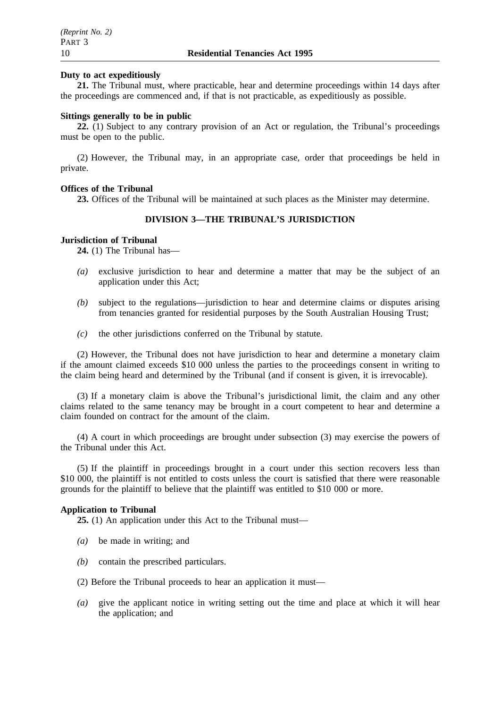### **Duty to act expeditiously**

**21.** The Tribunal must, where practicable, hear and determine proceedings within 14 days after the proceedings are commenced and, if that is not practicable, as expeditiously as possible.

### **Sittings generally to be in public**

**22.** (1) Subject to any contrary provision of an Act or regulation, the Tribunal's proceedings must be open to the public.

(2) However, the Tribunal may, in an appropriate case, order that proceedings be held in private.

### **Offices of the Tribunal**

**23.** Offices of the Tribunal will be maintained at such places as the Minister may determine.

# **DIVISION 3—THE TRIBUNAL'S JURISDICTION**

#### **Jurisdiction of Tribunal**

**24.** (1) The Tribunal has—

- *(a)* exclusive jurisdiction to hear and determine a matter that may be the subject of an application under this Act;
- *(b)* subject to the regulations—jurisdiction to hear and determine claims or disputes arising from tenancies granted for residential purposes by the South Australian Housing Trust;
- *(c)* the other jurisdictions conferred on the Tribunal by statute.

(2) However, the Tribunal does not have jurisdiction to hear and determine a monetary claim if the amount claimed exceeds \$10 000 unless the parties to the proceedings consent in writing to the claim being heard and determined by the Tribunal (and if consent is given, it is irrevocable).

(3) If a monetary claim is above the Tribunal's jurisdictional limit, the claim and any other claims related to the same tenancy may be brought in a court competent to hear and determine a claim founded on contract for the amount of the claim.

(4) A court in which proceedings are brought under subsection (3) may exercise the powers of the Tribunal under this Act.

(5) If the plaintiff in proceedings brought in a court under this section recovers less than \$10 000, the plaintiff is not entitled to costs unless the court is satisfied that there were reasonable grounds for the plaintiff to believe that the plaintiff was entitled to \$10 000 or more.

#### **Application to Tribunal**

**25.** (1) An application under this Act to the Tribunal must—

- *(a)* be made in writing; and
- *(b)* contain the prescribed particulars.
- (2) Before the Tribunal proceeds to hear an application it must—
- *(a)* give the applicant notice in writing setting out the time and place at which it will hear the application; and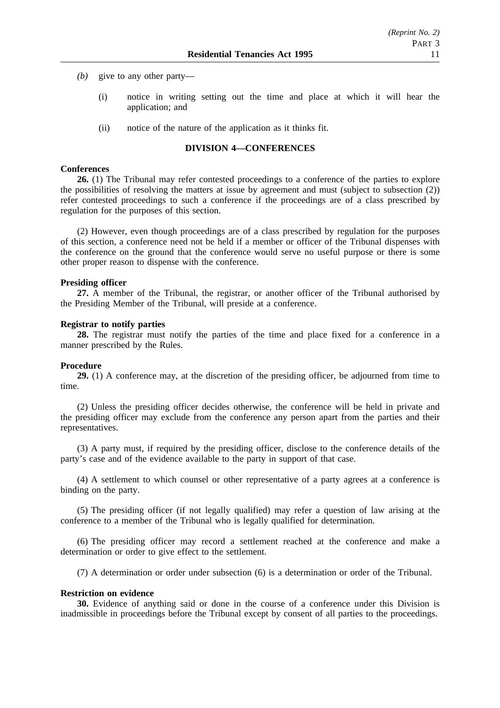- *(b)* give to any other party—
	- (i) notice in writing setting out the time and place at which it will hear the application; and
	- (ii) notice of the nature of the application as it thinks fit.

### **DIVISION 4—CONFERENCES**

#### **Conferences**

**26.** (1) The Tribunal may refer contested proceedings to a conference of the parties to explore the possibilities of resolving the matters at issue by agreement and must (subject to subsection (2)) refer contested proceedings to such a conference if the proceedings are of a class prescribed by regulation for the purposes of this section.

(2) However, even though proceedings are of a class prescribed by regulation for the purposes of this section, a conference need not be held if a member or officer of the Tribunal dispenses with the conference on the ground that the conference would serve no useful purpose or there is some other proper reason to dispense with the conference.

#### **Presiding officer**

**27.** A member of the Tribunal, the registrar, or another officer of the Tribunal authorised by the Presiding Member of the Tribunal, will preside at a conference.

#### **Registrar to notify parties**

**28.** The registrar must notify the parties of the time and place fixed for a conference in a manner prescribed by the Rules.

#### **Procedure**

**29.** (1) A conference may, at the discretion of the presiding officer, be adjourned from time to time.

(2) Unless the presiding officer decides otherwise, the conference will be held in private and the presiding officer may exclude from the conference any person apart from the parties and their representatives.

(3) A party must, if required by the presiding officer, disclose to the conference details of the party's case and of the evidence available to the party in support of that case.

(4) A settlement to which counsel or other representative of a party agrees at a conference is binding on the party.

(5) The presiding officer (if not legally qualified) may refer a question of law arising at the conference to a member of the Tribunal who is legally qualified for determination.

(6) The presiding officer may record a settlement reached at the conference and make a determination or order to give effect to the settlement.

(7) A determination or order under subsection (6) is a determination or order of the Tribunal.

## **Restriction on evidence**

**30.** Evidence of anything said or done in the course of a conference under this Division is inadmissible in proceedings before the Tribunal except by consent of all parties to the proceedings.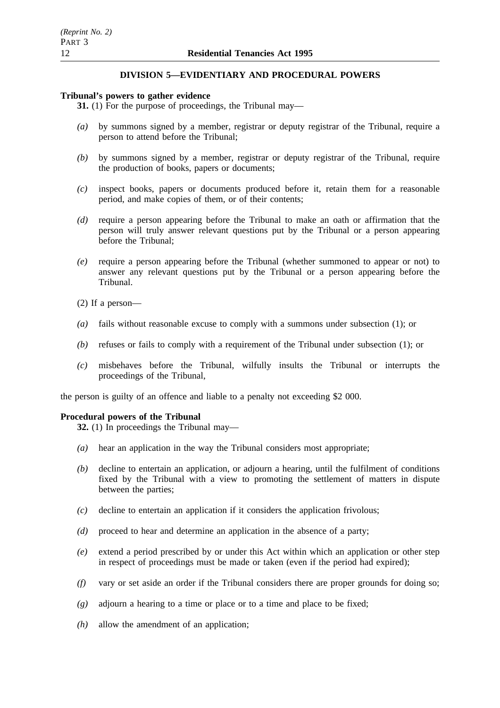# **DIVISION 5—EVIDENTIARY AND PROCEDURAL POWERS**

# **Tribunal's powers to gather evidence**

**31.** (1) For the purpose of proceedings, the Tribunal may—

- *(a)* by summons signed by a member, registrar or deputy registrar of the Tribunal, require a person to attend before the Tribunal;
- *(b)* by summons signed by a member, registrar or deputy registrar of the Tribunal, require the production of books, papers or documents;
- *(c)* inspect books, papers or documents produced before it, retain them for a reasonable period, and make copies of them, or of their contents;
- *(d)* require a person appearing before the Tribunal to make an oath or affirmation that the person will truly answer relevant questions put by the Tribunal or a person appearing before the Tribunal;
- *(e)* require a person appearing before the Tribunal (whether summoned to appear or not) to answer any relevant questions put by the Tribunal or a person appearing before the Tribunal.
- (2) If a person—
- *(a)* fails without reasonable excuse to comply with a summons under subsection (1); or
- *(b)* refuses or fails to comply with a requirement of the Tribunal under subsection (1); or
- *(c)* misbehaves before the Tribunal, wilfully insults the Tribunal or interrupts the proceedings of the Tribunal,

the person is guilty of an offence and liable to a penalty not exceeding \$2 000.

### **Procedural powers of the Tribunal**

**32.** (1) In proceedings the Tribunal may—

- *(a)* hear an application in the way the Tribunal considers most appropriate;
- *(b)* decline to entertain an application, or adjourn a hearing, until the fulfilment of conditions fixed by the Tribunal with a view to promoting the settlement of matters in dispute between the parties;
- *(c)* decline to entertain an application if it considers the application frivolous;
- *(d)* proceed to hear and determine an application in the absence of a party;
- *(e)* extend a period prescribed by or under this Act within which an application or other step in respect of proceedings must be made or taken (even if the period had expired);
- *(f)* vary or set aside an order if the Tribunal considers there are proper grounds for doing so;
- *(g)* adjourn a hearing to a time or place or to a time and place to be fixed;
- *(h)* allow the amendment of an application;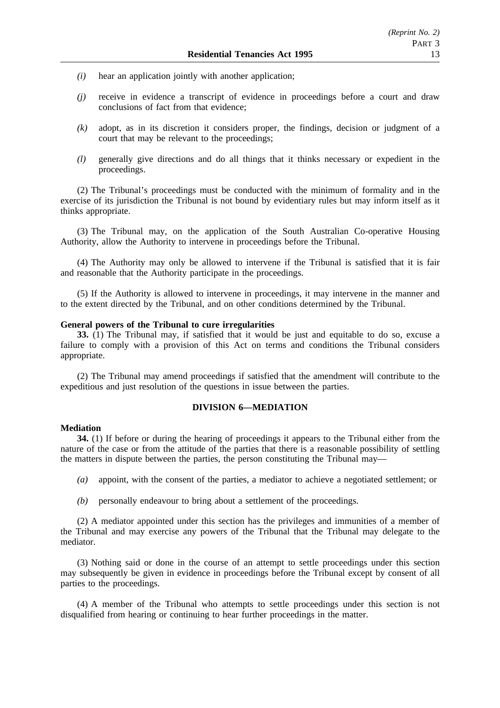- *(i)* hear an application jointly with another application;
- *(j)* receive in evidence a transcript of evidence in proceedings before a court and draw conclusions of fact from that evidence;
- *(k)* adopt, as in its discretion it considers proper, the findings, decision or judgment of a court that may be relevant to the proceedings;
- *(l)* generally give directions and do all things that it thinks necessary or expedient in the proceedings.

(2) The Tribunal's proceedings must be conducted with the minimum of formality and in the exercise of its jurisdiction the Tribunal is not bound by evidentiary rules but may inform itself as it thinks appropriate.

(3) The Tribunal may, on the application of the South Australian Co-operative Housing Authority, allow the Authority to intervene in proceedings before the Tribunal.

(4) The Authority may only be allowed to intervene if the Tribunal is satisfied that it is fair and reasonable that the Authority participate in the proceedings.

(5) If the Authority is allowed to intervene in proceedings, it may intervene in the manner and to the extent directed by the Tribunal, and on other conditions determined by the Tribunal.

#### **General powers of the Tribunal to cure irregularities**

**33.** (1) The Tribunal may, if satisfied that it would be just and equitable to do so, excuse a failure to comply with a provision of this Act on terms and conditions the Tribunal considers appropriate.

(2) The Tribunal may amend proceedings if satisfied that the amendment will contribute to the expeditious and just resolution of the questions in issue between the parties.

## **DIVISION 6—MEDIATION**

### **Mediation**

**34.** (1) If before or during the hearing of proceedings it appears to the Tribunal either from the nature of the case or from the attitude of the parties that there is a reasonable possibility of settling the matters in dispute between the parties, the person constituting the Tribunal may—

- *(a)* appoint, with the consent of the parties, a mediator to achieve a negotiated settlement; or
- *(b)* personally endeavour to bring about a settlement of the proceedings.

(2) A mediator appointed under this section has the privileges and immunities of a member of the Tribunal and may exercise any powers of the Tribunal that the Tribunal may delegate to the mediator.

(3) Nothing said or done in the course of an attempt to settle proceedings under this section may subsequently be given in evidence in proceedings before the Tribunal except by consent of all parties to the proceedings.

(4) A member of the Tribunal who attempts to settle proceedings under this section is not disqualified from hearing or continuing to hear further proceedings in the matter.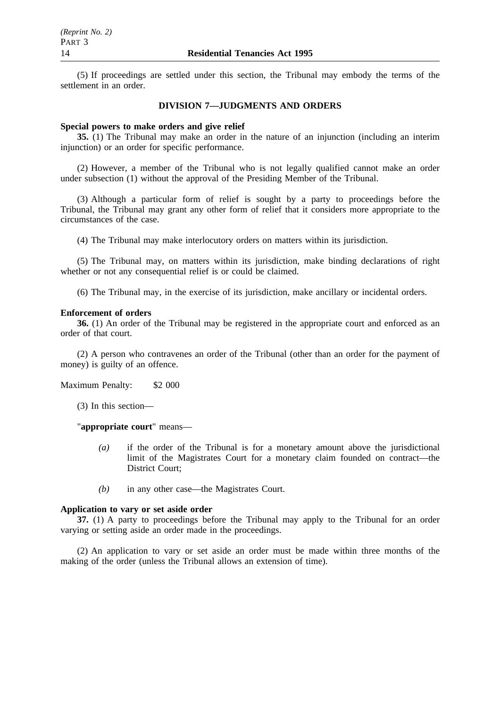(5) If proceedings are settled under this section, the Tribunal may embody the terms of the settlement in an order.

#### **DIVISION 7—JUDGMENTS AND ORDERS**

#### **Special powers to make orders and give relief**

**35.** (1) The Tribunal may make an order in the nature of an injunction (including an interim injunction) or an order for specific performance.

(2) However, a member of the Tribunal who is not legally qualified cannot make an order under subsection (1) without the approval of the Presiding Member of the Tribunal.

(3) Although a particular form of relief is sought by a party to proceedings before the Tribunal, the Tribunal may grant any other form of relief that it considers more appropriate to the circumstances of the case.

(4) The Tribunal may make interlocutory orders on matters within its jurisdiction.

(5) The Tribunal may, on matters within its jurisdiction, make binding declarations of right whether or not any consequential relief is or could be claimed.

(6) The Tribunal may, in the exercise of its jurisdiction, make ancillary or incidental orders.

#### **Enforcement of orders**

**36.** (1) An order of the Tribunal may be registered in the appropriate court and enforced as an order of that court.

(2) A person who contravenes an order of the Tribunal (other than an order for the payment of money) is guilty of an offence.

Maximum Penalty: \$2 000

(3) In this section—

"**appropriate court**" means—

- *(a)* if the order of the Tribunal is for a monetary amount above the jurisdictional limit of the Magistrates Court for a monetary claim founded on contract—the District Court;
- *(b)* in any other case—the Magistrates Court.

### **Application to vary or set aside order**

**37.** (1) A party to proceedings before the Tribunal may apply to the Tribunal for an order varying or setting aside an order made in the proceedings.

(2) An application to vary or set aside an order must be made within three months of the making of the order (unless the Tribunal allows an extension of time).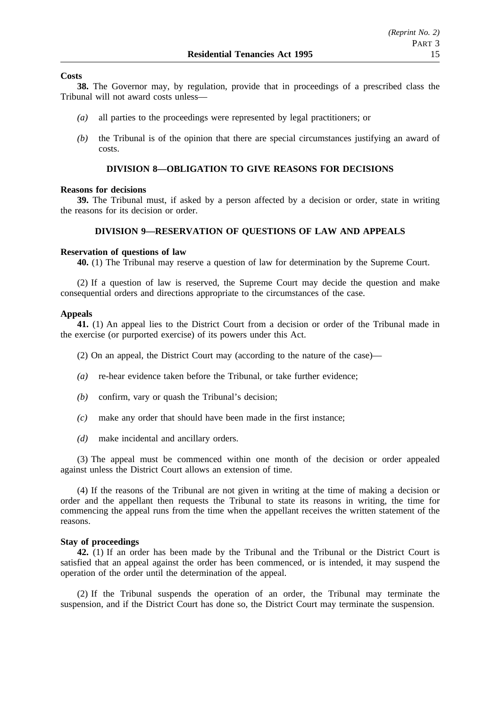### **Costs**

**38.** The Governor may, by regulation, provide that in proceedings of a prescribed class the Tribunal will not award costs unless—

- *(a)* all parties to the proceedings were represented by legal practitioners; or
- *(b)* the Tribunal is of the opinion that there are special circumstances justifying an award of costs.

# **DIVISION 8—OBLIGATION TO GIVE REASONS FOR DECISIONS**

#### **Reasons for decisions**

**39.** The Tribunal must, if asked by a person affected by a decision or order, state in writing the reasons for its decision or order.

### **DIVISION 9—RESERVATION OF QUESTIONS OF LAW AND APPEALS**

### **Reservation of questions of law**

**40.** (1) The Tribunal may reserve a question of law for determination by the Supreme Court.

(2) If a question of law is reserved, the Supreme Court may decide the question and make consequential orders and directions appropriate to the circumstances of the case.

### **Appeals**

**41.** (1) An appeal lies to the District Court from a decision or order of the Tribunal made in the exercise (or purported exercise) of its powers under this Act.

(2) On an appeal, the District Court may (according to the nature of the case)—

- *(a)* re-hear evidence taken before the Tribunal, or take further evidence;
- *(b)* confirm, vary or quash the Tribunal's decision;
- *(c)* make any order that should have been made in the first instance;
- *(d)* make incidental and ancillary orders.

(3) The appeal must be commenced within one month of the decision or order appealed against unless the District Court allows an extension of time.

(4) If the reasons of the Tribunal are not given in writing at the time of making a decision or order and the appellant then requests the Tribunal to state its reasons in writing, the time for commencing the appeal runs from the time when the appellant receives the written statement of the reasons.

### **Stay of proceedings**

**42.** (1) If an order has been made by the Tribunal and the Tribunal or the District Court is satisfied that an appeal against the order has been commenced, or is intended, it may suspend the operation of the order until the determination of the appeal.

(2) If the Tribunal suspends the operation of an order, the Tribunal may terminate the suspension, and if the District Court has done so, the District Court may terminate the suspension.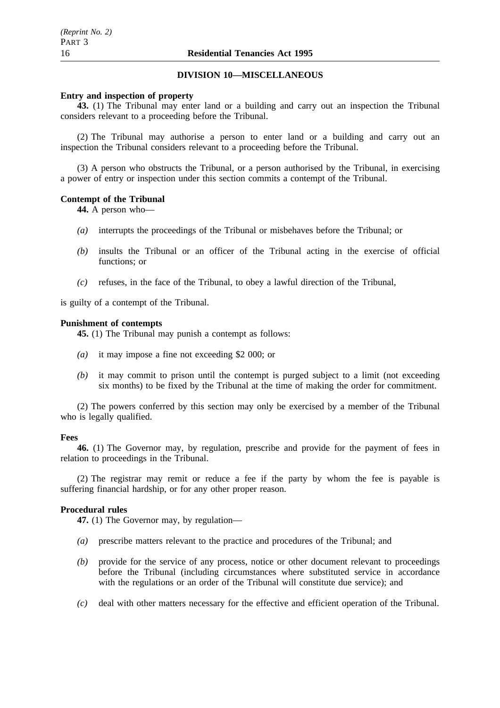### **DIVISION 10—MISCELLANEOUS**

#### **Entry and inspection of property**

**43.** (1) The Tribunal may enter land or a building and carry out an inspection the Tribunal considers relevant to a proceeding before the Tribunal.

(2) The Tribunal may authorise a person to enter land or a building and carry out an inspection the Tribunal considers relevant to a proceeding before the Tribunal.

(3) A person who obstructs the Tribunal, or a person authorised by the Tribunal, in exercising a power of entry or inspection under this section commits a contempt of the Tribunal.

### **Contempt of the Tribunal**

**44.** A person who—

- *(a)* interrupts the proceedings of the Tribunal or misbehaves before the Tribunal; or
- *(b)* insults the Tribunal or an officer of the Tribunal acting in the exercise of official functions; or
- *(c)* refuses, in the face of the Tribunal, to obey a lawful direction of the Tribunal,

is guilty of a contempt of the Tribunal.

#### **Punishment of contempts**

**45.** (1) The Tribunal may punish a contempt as follows:

- *(a)* it may impose a fine not exceeding \$2 000; or
- *(b)* it may commit to prison until the contempt is purged subject to a limit (not exceeding six months) to be fixed by the Tribunal at the time of making the order for commitment.

(2) The powers conferred by this section may only be exercised by a member of the Tribunal who is legally qualified.

#### **Fees**

**46.** (1) The Governor may, by regulation, prescribe and provide for the payment of fees in relation to proceedings in the Tribunal.

(2) The registrar may remit or reduce a fee if the party by whom the fee is payable is suffering financial hardship, or for any other proper reason.

#### **Procedural rules**

**47.** (1) The Governor may, by regulation—

- *(a)* prescribe matters relevant to the practice and procedures of the Tribunal; and
- *(b)* provide for the service of any process, notice or other document relevant to proceedings before the Tribunal (including circumstances where substituted service in accordance with the regulations or an order of the Tribunal will constitute due service); and
- *(c)* deal with other matters necessary for the effective and efficient operation of the Tribunal.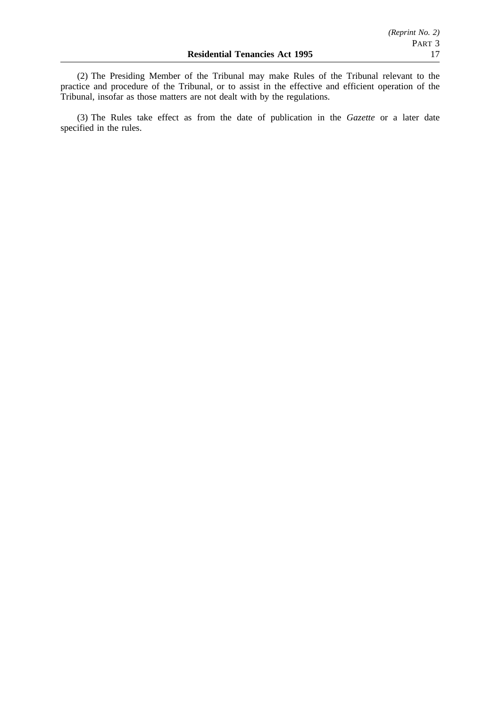(2) The Presiding Member of the Tribunal may make Rules of the Tribunal relevant to the practice and procedure of the Tribunal, or to assist in the effective and efficient operation of the Tribunal, insofar as those matters are not dealt with by the regulations.

(3) The Rules take effect as from the date of publication in the *Gazette* or a later date specified in the rules.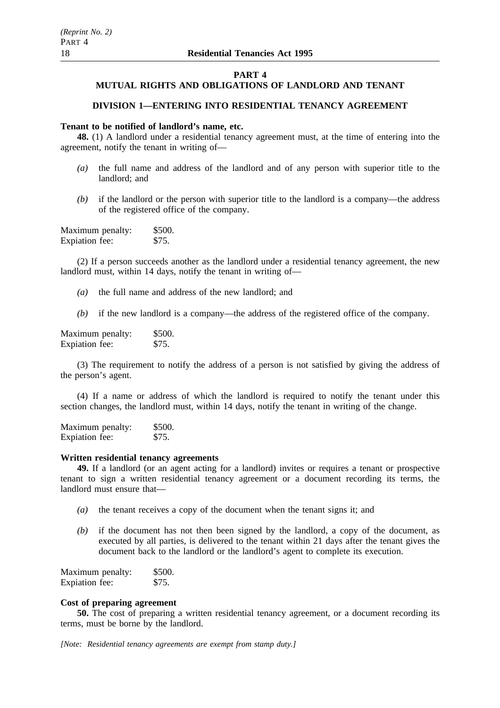#### **PART 4**

# **MUTUAL RIGHTS AND OBLIGATIONS OF LANDLORD AND TENANT**

# **DIVISION 1—ENTERING INTO RESIDENTIAL TENANCY AGREEMENT**

## **Tenant to be notified of landlord's name, etc.**

**48.** (1) A landlord under a residential tenancy agreement must, at the time of entering into the agreement, notify the tenant in writing of—

- *(a)* the full name and address of the landlord and of any person with superior title to the landlord; and
- *(b)* if the landlord or the person with superior title to the landlord is a company—the address of the registered office of the company.

| Maximum penalty: | \$500. |
|------------------|--------|
| Expiation fee:   | \$75.  |

(2) If a person succeeds another as the landlord under a residential tenancy agreement, the new landlord must, within 14 days, notify the tenant in writing of—

- *(a)* the full name and address of the new landlord; and
- *(b)* if the new landlord is a company—the address of the registered office of the company.

Maximum penalty: \$500. Expiation fee: \$75.

(3) The requirement to notify the address of a person is not satisfied by giving the address of the person's agent.

(4) If a name or address of which the landlord is required to notify the tenant under this section changes, the landlord must, within 14 days, notify the tenant in writing of the change.

Maximum penalty: \$500.<br>Exploration fee: \$75. Expiation fee:

### **Written residential tenancy agreements**

**49.** If a landlord (or an agent acting for a landlord) invites or requires a tenant or prospective tenant to sign a written residential tenancy agreement or a document recording its terms, the landlord must ensure that—

- *(a)* the tenant receives a copy of the document when the tenant signs it; and
- *(b)* if the document has not then been signed by the landlord, a copy of the document, as executed by all parties, is delivered to the tenant within 21 days after the tenant gives the document back to the landlord or the landlord's agent to complete its execution.

| Maximum penalty: | \$500. |
|------------------|--------|
| Expiation fee:   | \$75.  |

### **Cost of preparing agreement**

**50.** The cost of preparing a written residential tenancy agreement, or a document recording its terms, must be borne by the landlord.

*[Note: Residential tenancy agreements are exempt from stamp duty.]*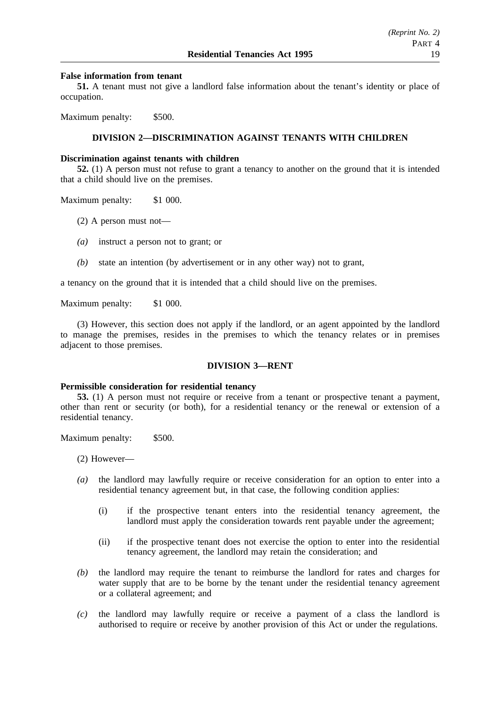### **False information from tenant**

**51.** A tenant must not give a landlord false information about the tenant's identity or place of occupation.

Maximum penalty: \$500.

# **DIVISION 2—DISCRIMINATION AGAINST TENANTS WITH CHILDREN**

#### **Discrimination against tenants with children**

**52.** (1) A person must not refuse to grant a tenancy to another on the ground that it is intended that a child should live on the premises.

Maximum penalty: \$1 000.

- (2) A person must not—
- *(a)* instruct a person not to grant; or
- *(b)* state an intention (by advertisement or in any other way) not to grant,

a tenancy on the ground that it is intended that a child should live on the premises.

Maximum penalty: \$1 000.

(3) However, this section does not apply if the landlord, or an agent appointed by the landlord to manage the premises, resides in the premises to which the tenancy relates or in premises adjacent to those premises.

### **DIVISION 3—RENT**

#### **Permissible consideration for residential tenancy**

**53.** (1) A person must not require or receive from a tenant or prospective tenant a payment, other than rent or security (or both), for a residential tenancy or the renewal or extension of a residential tenancy.

Maximum penalty: \$500.

(2) However—

- *(a)* the landlord may lawfully require or receive consideration for an option to enter into a residential tenancy agreement but, in that case, the following condition applies:
	- (i) if the prospective tenant enters into the residential tenancy agreement, the landlord must apply the consideration towards rent payable under the agreement;
	- (ii) if the prospective tenant does not exercise the option to enter into the residential tenancy agreement, the landlord may retain the consideration; and
- *(b)* the landlord may require the tenant to reimburse the landlord for rates and charges for water supply that are to be borne by the tenant under the residential tenancy agreement or a collateral agreement; and
- *(c)* the landlord may lawfully require or receive a payment of a class the landlord is authorised to require or receive by another provision of this Act or under the regulations.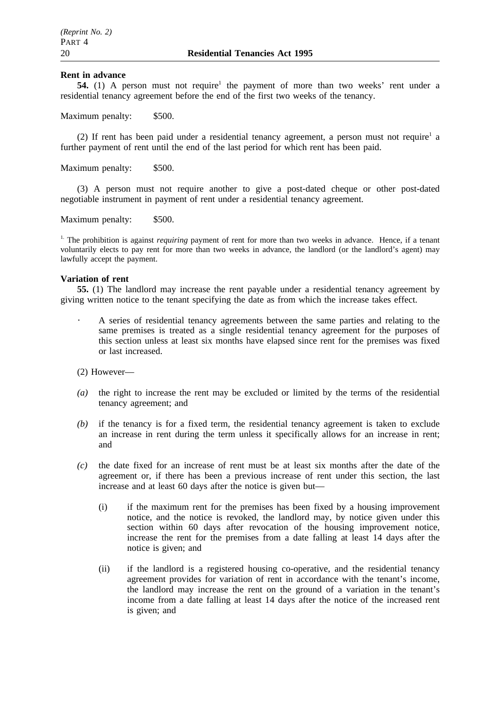#### **Rent in advance**

**54.** (1) A person must not require<sup>1</sup> the payment of more than two weeks' rent under a residential tenancy agreement before the end of the first two weeks of the tenancy.

Maximum penalty: \$500.

(2) If rent has been paid under a residential tenancy agreement, a person must not require<sup>1</sup> a further payment of rent until the end of the last period for which rent has been paid.

Maximum penalty: \$500.

(3) A person must not require another to give a post-dated cheque or other post-dated negotiable instrument in payment of rent under a residential tenancy agreement.

Maximum penalty: \$500.

<sup>1.</sup> The prohibition is against *requiring* payment of rent for more than two weeks in advance. Hence, if a tenant voluntarily elects to pay rent for more than two weeks in advance, the landlord (or the landlord's agent) may lawfully accept the payment.

#### **Variation of rent**

**55.** (1) The landlord may increase the rent payable under a residential tenancy agreement by giving written notice to the tenant specifying the date as from which the increase takes effect.

- A series of residential tenancy agreements between the same parties and relating to the same premises is treated as a single residential tenancy agreement for the purposes of this section unless at least six months have elapsed since rent for the premises was fixed or last increased.
- (2) However—
- *(a)* the right to increase the rent may be excluded or limited by the terms of the residential tenancy agreement; and
- *(b)* if the tenancy is for a fixed term, the residential tenancy agreement is taken to exclude an increase in rent during the term unless it specifically allows for an increase in rent; and
- *(c)* the date fixed for an increase of rent must be at least six months after the date of the agreement or, if there has been a previous increase of rent under this section, the last increase and at least 60 days after the notice is given but—
	- (i) if the maximum rent for the premises has been fixed by a housing improvement notice, and the notice is revoked, the landlord may, by notice given under this section within 60 days after revocation of the housing improvement notice, increase the rent for the premises from a date falling at least 14 days after the notice is given; and
	- (ii) if the landlord is a registered housing co-operative, and the residential tenancy agreement provides for variation of rent in accordance with the tenant's income, the landlord may increase the rent on the ground of a variation in the tenant's income from a date falling at least 14 days after the notice of the increased rent is given; and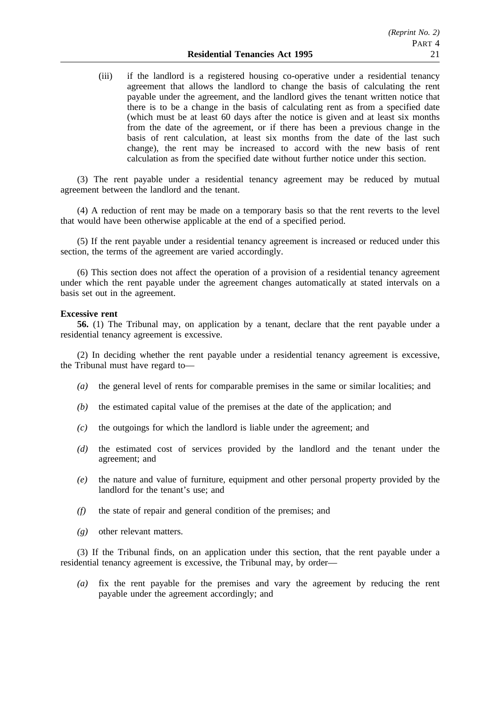(iii) if the landlord is a registered housing co-operative under a residential tenancy agreement that allows the landlord to change the basis of calculating the rent payable under the agreement, and the landlord gives the tenant written notice that there is to be a change in the basis of calculating rent as from a specified date (which must be at least 60 days after the notice is given and at least six months from the date of the agreement, or if there has been a previous change in the basis of rent calculation, at least six months from the date of the last such change), the rent may be increased to accord with the new basis of rent calculation as from the specified date without further notice under this section.

(3) The rent payable under a residential tenancy agreement may be reduced by mutual agreement between the landlord and the tenant.

(4) A reduction of rent may be made on a temporary basis so that the rent reverts to the level that would have been otherwise applicable at the end of a specified period.

(5) If the rent payable under a residential tenancy agreement is increased or reduced under this section, the terms of the agreement are varied accordingly.

(6) This section does not affect the operation of a provision of a residential tenancy agreement under which the rent payable under the agreement changes automatically at stated intervals on a basis set out in the agreement.

#### **Excessive rent**

**56.** (1) The Tribunal may, on application by a tenant, declare that the rent payable under a residential tenancy agreement is excessive.

(2) In deciding whether the rent payable under a residential tenancy agreement is excessive, the Tribunal must have regard to—

- *(a)* the general level of rents for comparable premises in the same or similar localities; and
- *(b)* the estimated capital value of the premises at the date of the application; and
- *(c)* the outgoings for which the landlord is liable under the agreement; and
- *(d)* the estimated cost of services provided by the landlord and the tenant under the agreement; and
- *(e)* the nature and value of furniture, equipment and other personal property provided by the landlord for the tenant's use; and
- *(f)* the state of repair and general condition of the premises; and
- *(g)* other relevant matters.

(3) If the Tribunal finds, on an application under this section, that the rent payable under a residential tenancy agreement is excessive, the Tribunal may, by order—

*(a)* fix the rent payable for the premises and vary the agreement by reducing the rent payable under the agreement accordingly; and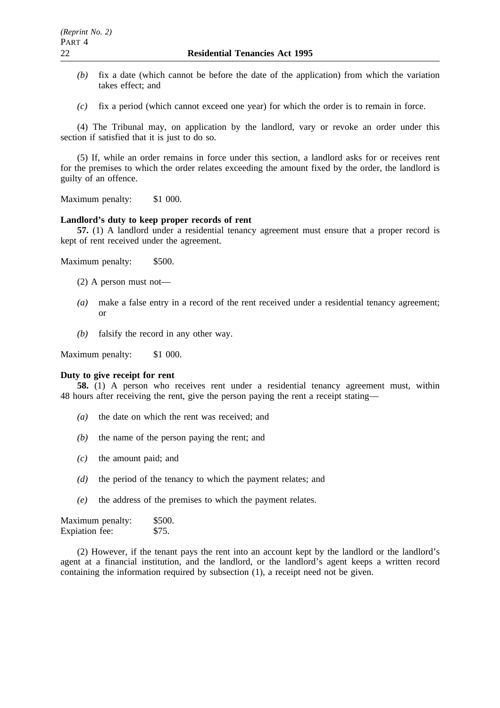- *(b)* fix a date (which cannot be before the date of the application) from which the variation takes effect; and
- *(c)* fix a period (which cannot exceed one year) for which the order is to remain in force.

(4) The Tribunal may, on application by the landlord, vary or revoke an order under this section if satisfied that it is just to do so.

(5) If, while an order remains in force under this section, a landlord asks for or receives rent for the premises to which the order relates exceeding the amount fixed by the order, the landlord is guilty of an offence.

Maximum penalty: \$1 000.

# **Landlord's duty to keep proper records of rent**

**57.** (1) A landlord under a residential tenancy agreement must ensure that a proper record is kept of rent received under the agreement.

Maximum penalty: \$500.

- (2) A person must not—
- *(a)* make a false entry in a record of the rent received under a residential tenancy agreement; or
- *(b)* falsify the record in any other way.

Maximum penalty: \$1 000.

#### **Duty to give receipt for rent**

**58.** (1) A person who receives rent under a residential tenancy agreement must, within 48 hours after receiving the rent, give the person paying the rent a receipt stating—

- *(a)* the date on which the rent was received; and
- *(b)* the name of the person paying the rent; and
- *(c)* the amount paid; and
- *(d)* the period of the tenancy to which the payment relates; and
- *(e)* the address of the premises to which the payment relates.

Maximum penalty: \$500. Expiation fee: \$75.

(2) However, if the tenant pays the rent into an account kept by the landlord or the landlord's agent at a financial institution, and the landlord, or the landlord's agent keeps a written record containing the information required by subsection (1), a receipt need not be given.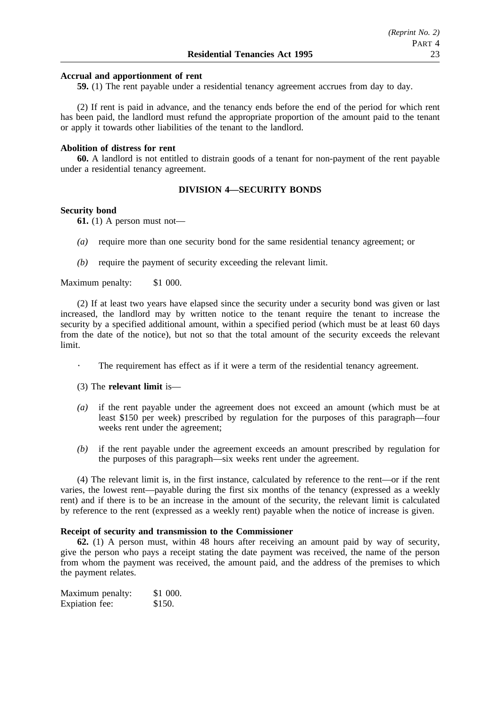### **Accrual and apportionment of rent**

**59.** (1) The rent payable under a residential tenancy agreement accrues from day to day.

(2) If rent is paid in advance, and the tenancy ends before the end of the period for which rent has been paid, the landlord must refund the appropriate proportion of the amount paid to the tenant or apply it towards other liabilities of the tenant to the landlord.

### **Abolition of distress for rent**

**60.** A landlord is not entitled to distrain goods of a tenant for non-payment of the rent payable under a residential tenancy agreement.

### **DIVISION 4—SECURITY BONDS**

#### **Security bond**

 $\sim$ 

**61.** (1) A person must not—

- *(a)* require more than one security bond for the same residential tenancy agreement; or
- *(b)* require the payment of security exceeding the relevant limit.

Maximum penalty: \$1 000.

(2) If at least two years have elapsed since the security under a security bond was given or last increased, the landlord may by written notice to the tenant require the tenant to increase the security by a specified additional amount, within a specified period (which must be at least 60 days from the date of the notice), but not so that the total amount of the security exceeds the relevant limit.

- The requirement has effect as if it were a term of the residential tenancy agreement.
- (3) The **relevant limit** is—
- *(a)* if the rent payable under the agreement does not exceed an amount (which must be at least \$150 per week) prescribed by regulation for the purposes of this paragraph—four weeks rent under the agreement;
- *(b)* if the rent payable under the agreement exceeds an amount prescribed by regulation for the purposes of this paragraph—six weeks rent under the agreement.

(4) The relevant limit is, in the first instance, calculated by reference to the rent—or if the rent varies, the lowest rent—payable during the first six months of the tenancy (expressed as a weekly rent) and if there is to be an increase in the amount of the security, the relevant limit is calculated by reference to the rent (expressed as a weekly rent) payable when the notice of increase is given.

# **Receipt of security and transmission to the Commissioner**

**62.** (1) A person must, within 48 hours after receiving an amount paid by way of security, give the person who pays a receipt stating the date payment was received, the name of the person from whom the payment was received, the amount paid, and the address of the premises to which the payment relates.

Maximum penalty: \$1 000. Expiation fee: \$150.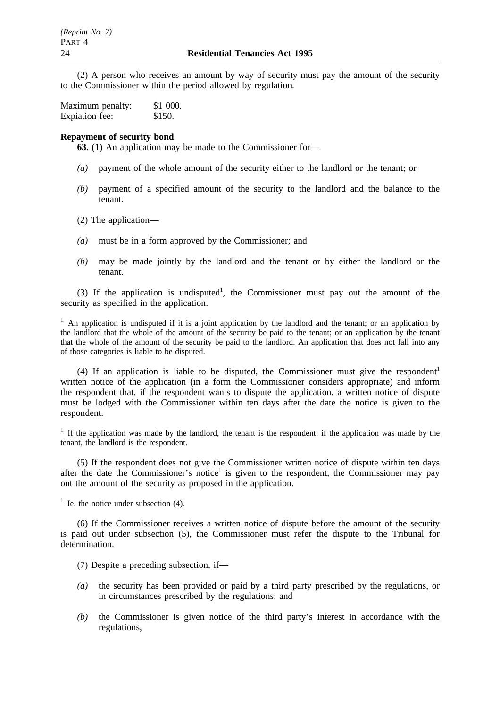(2) A person who receives an amount by way of security must pay the amount of the security to the Commissioner within the period allowed by regulation.

| Maximum penalty: | \$1 000. |
|------------------|----------|
| Expiation fee:   | \$150.   |

### **Repayment of security bond**

**63.** (1) An application may be made to the Commissioner for—

- *(a)* payment of the whole amount of the security either to the landlord or the tenant; or
- *(b)* payment of a specified amount of the security to the landlord and the balance to the tenant.
- (2) The application—
- *(a)* must be in a form approved by the Commissioner; and
- *(b)* may be made jointly by the landlord and the tenant or by either the landlord or the tenant.

(3) If the application is undisputed<sup>1</sup>, the Commissioner must pay out the amount of the security as specified in the application.

<sup>1.</sup> An application is undisputed if it is a joint application by the landlord and the tenant; or an application by the landlord that the whole of the amount of the security be paid to the tenant; or an application by the tenant that the whole of the amount of the security be paid to the landlord. An application that does not fall into any of those categories is liable to be disputed.

(4) If an application is liable to be disputed, the Commissioner must give the respondent<sup>1</sup> written notice of the application (in a form the Commissioner considers appropriate) and inform the respondent that, if the respondent wants to dispute the application, a written notice of dispute must be lodged with the Commissioner within ten days after the date the notice is given to the respondent.

 $1.$  If the application was made by the landlord, the tenant is the respondent; if the application was made by the tenant, the landlord is the respondent.

(5) If the respondent does not give the Commissioner written notice of dispute within ten days after the date the Commissioner's notice<sup>1</sup> is given to the respondent, the Commissioner may pay out the amount of the security as proposed in the application.

 $<sup>1</sup>$ . Ie. the notice under subsection (4).</sup>

(6) If the Commissioner receives a written notice of dispute before the amount of the security is paid out under subsection (5), the Commissioner must refer the dispute to the Tribunal for determination.

(7) Despite a preceding subsection, if—

- *(a)* the security has been provided or paid by a third party prescribed by the regulations, or in circumstances prescribed by the regulations; and
- *(b)* the Commissioner is given notice of the third party's interest in accordance with the regulations,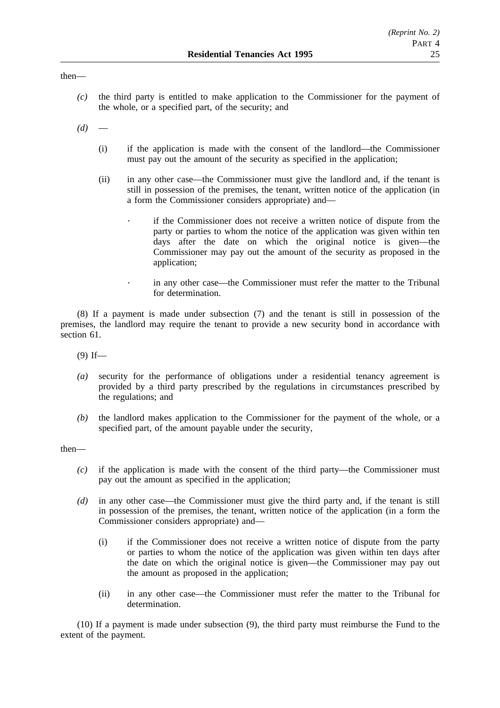### then—

*(c)* the third party is entitled to make application to the Commissioner for the payment of the whole, or a specified part, of the security; and

 $(d)$ 

- (i) if the application is made with the consent of the landlord—the Commissioner must pay out the amount of the security as specified in the application;
- (ii) in any other case—the Commissioner must give the landlord and, if the tenant is still in possession of the premises, the tenant, written notice of the application (in a form the Commissioner considers appropriate) and
	- if the Commissioner does not receive a written notice of dispute from the party or parties to whom the notice of the application was given within ten days after the date on which the original notice is given—the Commissioner may pay out the amount of the security as proposed in the application;
		- in any other case—the Commissioner must refer the matter to the Tribunal for determination.

(8) If a payment is made under subsection (7) and the tenant is still in possession of the premises, the landlord may require the tenant to provide a new security bond in accordance with section 61.

 $(9)$  If—

 $\ddot{\phantom{0}}$ 

- *(a)* security for the performance of obligations under a residential tenancy agreement is provided by a third party prescribed by the regulations in circumstances prescribed by the regulations; and
- *(b)* the landlord makes application to the Commissioner for the payment of the whole, or a specified part, of the amount payable under the security,

then—

- *(c)* if the application is made with the consent of the third party—the Commissioner must pay out the amount as specified in the application;
- *(d)* in any other case—the Commissioner must give the third party and, if the tenant is still in possession of the premises, the tenant, written notice of the application (in a form the Commissioner considers appropriate) and—
	- (i) if the Commissioner does not receive a written notice of dispute from the party or parties to whom the notice of the application was given within ten days after the date on which the original notice is given—the Commissioner may pay out the amount as proposed in the application;
	- (ii) in any other case—the Commissioner must refer the matter to the Tribunal for determination.

(10) If a payment is made under subsection (9), the third party must reimburse the Fund to the extent of the payment.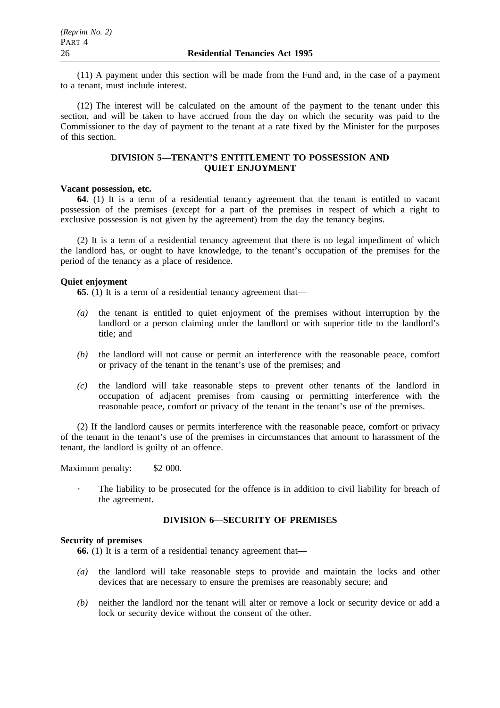(11) A payment under this section will be made from the Fund and, in the case of a payment to a tenant, must include interest.

(12) The interest will be calculated on the amount of the payment to the tenant under this section, and will be taken to have accrued from the day on which the security was paid to the Commissioner to the day of payment to the tenant at a rate fixed by the Minister for the purposes of this section.

### **DIVISION 5—TENANT'S ENTITLEMENT TO POSSESSION AND QUIET ENJOYMENT**

### **Vacant possession, etc.**

**64.** (1) It is a term of a residential tenancy agreement that the tenant is entitled to vacant possession of the premises (except for a part of the premises in respect of which a right to exclusive possession is not given by the agreement) from the day the tenancy begins.

(2) It is a term of a residential tenancy agreement that there is no legal impediment of which the landlord has, or ought to have knowledge, to the tenant's occupation of the premises for the period of the tenancy as a place of residence.

### **Quiet enjoyment**

**65.** (1) It is a term of a residential tenancy agreement that—

- *(a)* the tenant is entitled to quiet enjoyment of the premises without interruption by the landlord or a person claiming under the landlord or with superior title to the landlord's title; and
- *(b)* the landlord will not cause or permit an interference with the reasonable peace, comfort or privacy of the tenant in the tenant's use of the premises; and
- *(c)* the landlord will take reasonable steps to prevent other tenants of the landlord in occupation of adjacent premises from causing or permitting interference with the reasonable peace, comfort or privacy of the tenant in the tenant's use of the premises.

(2) If the landlord causes or permits interference with the reasonable peace, comfort or privacy of the tenant in the tenant's use of the premises in circumstances that amount to harassment of the tenant, the landlord is guilty of an offence.

Maximum penalty: \$2 000.

The liability to be prosecuted for the offence is in addition to civil liability for breach of the agreement.

# **DIVISION 6—SECURITY OF PREMISES**

### **Security of premises**

**66.** (1) It is a term of a residential tenancy agreement that—

- *(a)* the landlord will take reasonable steps to provide and maintain the locks and other devices that are necessary to ensure the premises are reasonably secure; and
- *(b)* neither the landlord nor the tenant will alter or remove a lock or security device or add a lock or security device without the consent of the other.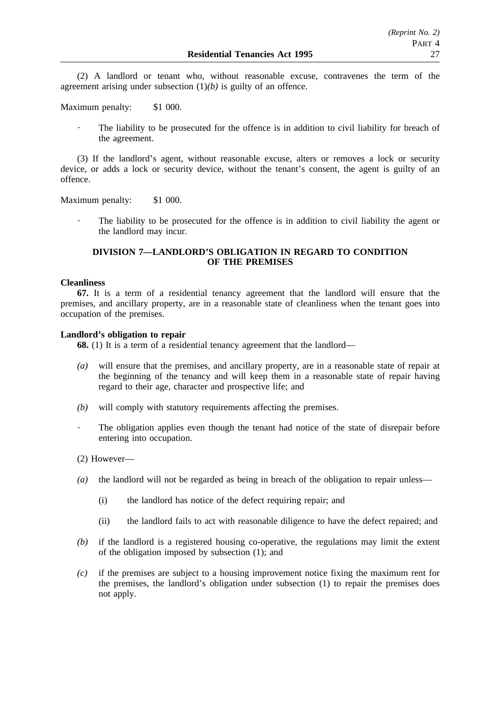(2) A landlord or tenant who, without reasonable excuse, contravenes the term of the agreement arising under subsection  $(1)(b)$  is guilty of an offence.

Maximum penalty: \$1 000.

The liability to be prosecuted for the offence is in addition to civil liability for breach of the agreement.

(3) If the landlord's agent, without reasonable excuse, alters or removes a lock or security device, or adds a lock or security device, without the tenant's consent, the agent is guilty of an offence.

Maximum penalty: \$1 000.

The liability to be prosecuted for the offence is in addition to civil liability the agent or the landlord may incur.

# **DIVISION 7—LANDLORD'S OBLIGATION IN REGARD TO CONDITION OF THE PREMISES**

### **Cleanliness**

**67.** It is a term of a residential tenancy agreement that the landlord will ensure that the premises, and ancillary property, are in a reasonable state of cleanliness when the tenant goes into occupation of the premises.

### **Landlord's obligation to repair**

**68.** (1) It is a term of a residential tenancy agreement that the landlord—

- *(a)* will ensure that the premises, and ancillary property, are in a reasonable state of repair at the beginning of the tenancy and will keep them in a reasonable state of repair having regard to their age, character and prospective life; and
- *(b)* will comply with statutory requirements affecting the premises.
- The obligation applies even though the tenant had notice of the state of disrepair before entering into occupation.
- (2) However—
- *(a)* the landlord will not be regarded as being in breach of the obligation to repair unless—
	- (i) the landlord has notice of the defect requiring repair; and
	- (ii) the landlord fails to act with reasonable diligence to have the defect repaired; and
- *(b)* if the landlord is a registered housing co-operative, the regulations may limit the extent of the obligation imposed by subsection (1); and
- *(c)* if the premises are subject to a housing improvement notice fixing the maximum rent for the premises, the landlord's obligation under subsection (1) to repair the premises does not apply.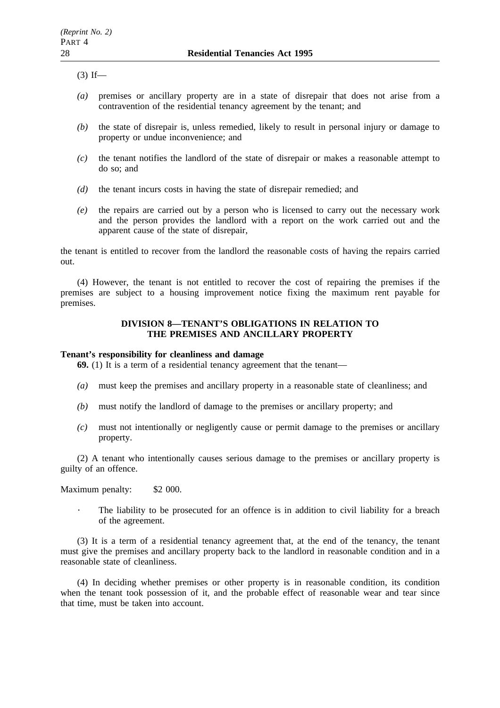$(3)$  If—

- *(a)* premises or ancillary property are in a state of disrepair that does not arise from a contravention of the residential tenancy agreement by the tenant; and
- *(b)* the state of disrepair is, unless remedied, likely to result in personal injury or damage to property or undue inconvenience; and
- *(c)* the tenant notifies the landlord of the state of disrepair or makes a reasonable attempt to do so; and
- *(d)* the tenant incurs costs in having the state of disrepair remedied; and
- *(e)* the repairs are carried out by a person who is licensed to carry out the necessary work and the person provides the landlord with a report on the work carried out and the apparent cause of the state of disrepair,

the tenant is entitled to recover from the landlord the reasonable costs of having the repairs carried out.

(4) However, the tenant is not entitled to recover the cost of repairing the premises if the premises are subject to a housing improvement notice fixing the maximum rent payable for premises.

# **DIVISION 8—TENANT'S OBLIGATIONS IN RELATION TO THE PREMISES AND ANCILLARY PROPERTY**

# **Tenant's responsibility for cleanliness and damage**

**69.** (1) It is a term of a residential tenancy agreement that the tenant—

- *(a)* must keep the premises and ancillary property in a reasonable state of cleanliness; and
- *(b)* must notify the landlord of damage to the premises or ancillary property; and
- *(c)* must not intentionally or negligently cause or permit damage to the premises or ancillary property.

(2) A tenant who intentionally causes serious damage to the premises or ancillary property is guilty of an offence.

Maximum penalty: \$2 000.

The liability to be prosecuted for an offence is in addition to civil liability for a breach of the agreement.

(3) It is a term of a residential tenancy agreement that, at the end of the tenancy, the tenant must give the premises and ancillary property back to the landlord in reasonable condition and in a reasonable state of cleanliness.

(4) In deciding whether premises or other property is in reasonable condition, its condition when the tenant took possession of it, and the probable effect of reasonable wear and tear since that time, must be taken into account.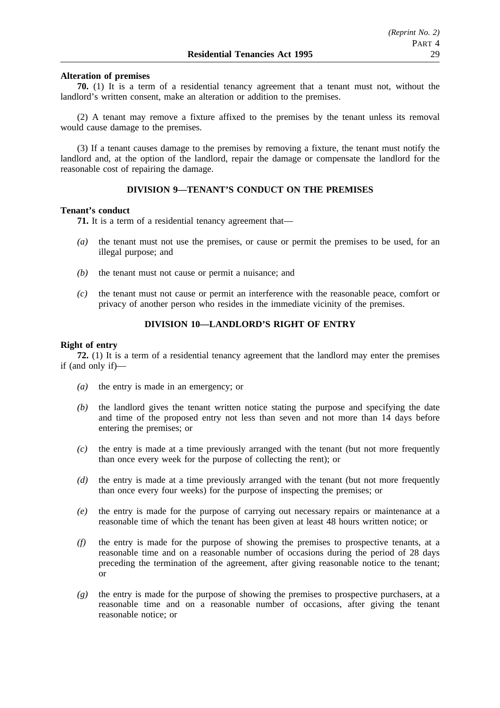### **Alteration of premises**

**70.** (1) It is a term of a residential tenancy agreement that a tenant must not, without the landlord's written consent, make an alteration or addition to the premises.

(2) A tenant may remove a fixture affixed to the premises by the tenant unless its removal would cause damage to the premises.

(3) If a tenant causes damage to the premises by removing a fixture, the tenant must notify the landlord and, at the option of the landlord, repair the damage or compensate the landlord for the reasonable cost of repairing the damage.

# **DIVISION 9—TENANT'S CONDUCT ON THE PREMISES**

#### **Tenant's conduct**

**71.** It is a term of a residential tenancy agreement that—

- *(a)* the tenant must not use the premises, or cause or permit the premises to be used, for an illegal purpose; and
- *(b)* the tenant must not cause or permit a nuisance; and
- *(c)* the tenant must not cause or permit an interference with the reasonable peace, comfort or privacy of another person who resides in the immediate vicinity of the premises.

## **DIVISION 10—LANDLORD'S RIGHT OF ENTRY**

### **Right of entry**

**72.** (1) It is a term of a residential tenancy agreement that the landlord may enter the premises if (and only if)—

- *(a)* the entry is made in an emergency; or
- *(b)* the landlord gives the tenant written notice stating the purpose and specifying the date and time of the proposed entry not less than seven and not more than 14 days before entering the premises; or
- *(c)* the entry is made at a time previously arranged with the tenant (but not more frequently than once every week for the purpose of collecting the rent); or
- *(d)* the entry is made at a time previously arranged with the tenant (but not more frequently than once every four weeks) for the purpose of inspecting the premises; or
- *(e)* the entry is made for the purpose of carrying out necessary repairs or maintenance at a reasonable time of which the tenant has been given at least 48 hours written notice; or
- *(f)* the entry is made for the purpose of showing the premises to prospective tenants, at a reasonable time and on a reasonable number of occasions during the period of 28 days preceding the termination of the agreement, after giving reasonable notice to the tenant; or
- *(g)* the entry is made for the purpose of showing the premises to prospective purchasers, at a reasonable time and on a reasonable number of occasions, after giving the tenant reasonable notice; or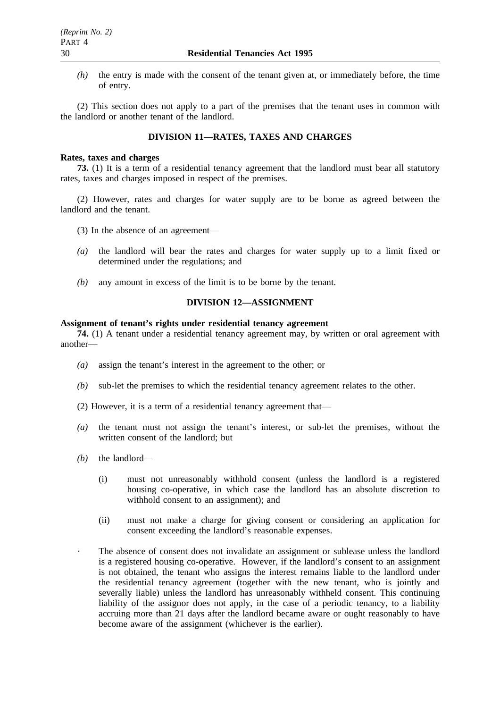*(h)* the entry is made with the consent of the tenant given at, or immediately before, the time of entry.

(2) This section does not apply to a part of the premises that the tenant uses in common with the landlord or another tenant of the landlord.

# **DIVISION 11—RATES, TAXES AND CHARGES**

### **Rates, taxes and charges**

**73.** (1) It is a term of a residential tenancy agreement that the landlord must bear all statutory rates, taxes and charges imposed in respect of the premises.

(2) However, rates and charges for water supply are to be borne as agreed between the landlord and the tenant.

- (3) In the absence of an agreement—
- *(a)* the landlord will bear the rates and charges for water supply up to a limit fixed or determined under the regulations; and
- *(b)* any amount in excess of the limit is to be borne by the tenant.

# **DIVISION 12—ASSIGNMENT**

#### **Assignment of tenant's rights under residential tenancy agreement**

**74.** (1) A tenant under a residential tenancy agreement may, by written or oral agreement with another—

- *(a)* assign the tenant's interest in the agreement to the other; or
- *(b)* sub-let the premises to which the residential tenancy agreement relates to the other.
- (2) However, it is a term of a residential tenancy agreement that—
- *(a)* the tenant must not assign the tenant's interest, or sub-let the premises, without the written consent of the landlord; but
- *(b)* the landlord—
	- (i) must not unreasonably withhold consent (unless the landlord is a registered housing co-operative, in which case the landlord has an absolute discretion to withhold consent to an assignment); and
	- (ii) must not make a charge for giving consent or considering an application for consent exceeding the landlord's reasonable expenses.
	- The absence of consent does not invalidate an assignment or sublease unless the landlord is a registered housing co-operative. However, if the landlord's consent to an assignment is not obtained, the tenant who assigns the interest remains liable to the landlord under the residential tenancy agreement (together with the new tenant, who is jointly and severally liable) unless the landlord has unreasonably withheld consent. This continuing liability of the assignor does not apply, in the case of a periodic tenancy, to a liability accruing more than 21 days after the landlord became aware or ought reasonably to have become aware of the assignment (whichever is the earlier).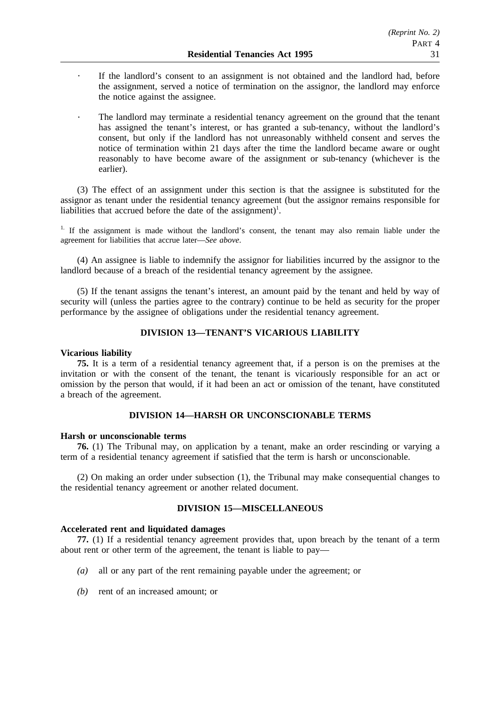- If the landlord's consent to an assignment is not obtained and the landlord had, before the assignment, served a notice of termination on the assignor, the landlord may enforce the notice against the assignee.
- The landlord may terminate a residential tenancy agreement on the ground that the tenant has assigned the tenant's interest, or has granted a sub-tenancy, without the landlord's consent, but only if the landlord has not unreasonably withheld consent and serves the notice of termination within 21 days after the time the landlord became aware or ought reasonably to have become aware of the assignment or sub-tenancy (whichever is the earlier).

(3) The effect of an assignment under this section is that the assignee is substituted for the assignor as tenant under the residential tenancy agreement (but the assignor remains responsible for liabilities that accrued before the date of the assignment)<sup>1</sup>.

<sup>1.</sup> If the assignment is made without the landlord's consent, the tenant may also remain liable under the agreement for liabilities that accrue later—*See above*.

(4) An assignee is liable to indemnify the assignor for liabilities incurred by the assignor to the landlord because of a breach of the residential tenancy agreement by the assignee.

(5) If the tenant assigns the tenant's interest, an amount paid by the tenant and held by way of security will (unless the parties agree to the contrary) continue to be held as security for the proper performance by the assignee of obligations under the residential tenancy agreement.

# **DIVISION 13—TENANT'S VICARIOUS LIABILITY**

### **Vicarious liability**

**75.** It is a term of a residential tenancy agreement that, if a person is on the premises at the invitation or with the consent of the tenant, the tenant is vicariously responsible for an act or omission by the person that would, if it had been an act or omission of the tenant, have constituted a breach of the agreement.

### **DIVISION 14—HARSH OR UNCONSCIONABLE TERMS**

#### **Harsh or unconscionable terms**

**76.** (1) The Tribunal may, on application by a tenant, make an order rescinding or varying a term of a residential tenancy agreement if satisfied that the term is harsh or unconscionable.

(2) On making an order under subsection (1), the Tribunal may make consequential changes to the residential tenancy agreement or another related document.

### **DIVISION 15—MISCELLANEOUS**

## **Accelerated rent and liquidated damages**

**77.** (1) If a residential tenancy agreement provides that, upon breach by the tenant of a term about rent or other term of the agreement, the tenant is liable to pay—

- *(a)* all or any part of the rent remaining payable under the agreement; or
- *(b)* rent of an increased amount; or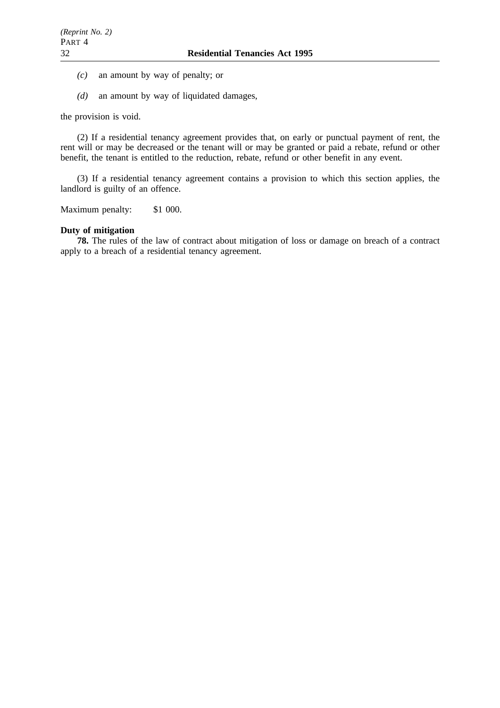- *(c)* an amount by way of penalty; or
- *(d)* an amount by way of liquidated damages,

the provision is void.

(2) If a residential tenancy agreement provides that, on early or punctual payment of rent, the rent will or may be decreased or the tenant will or may be granted or paid a rebate, refund or other benefit, the tenant is entitled to the reduction, rebate, refund or other benefit in any event.

(3) If a residential tenancy agreement contains a provision to which this section applies, the landlord is guilty of an offence.

Maximum penalty: \$1 000.

### **Duty of mitigation**

**78.** The rules of the law of contract about mitigation of loss or damage on breach of a contract apply to a breach of a residential tenancy agreement.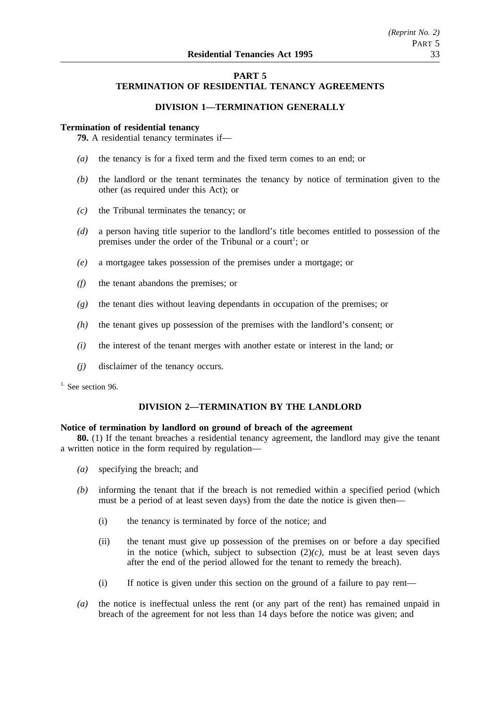# **PART 5 TERMINATION OF RESIDENTIAL TENANCY AGREEMENTS**

# **DIVISION 1—TERMINATION GENERALLY**

### **Termination of residential tenancy**

**79.** A residential tenancy terminates if—

- *(a)* the tenancy is for a fixed term and the fixed term comes to an end; or
- *(b)* the landlord or the tenant terminates the tenancy by notice of termination given to the other (as required under this Act); or
- *(c)* the Tribunal terminates the tenancy; or
- *(d)* a person having title superior to the landlord's title becomes entitled to possession of the premises under the order of the Tribunal or a court<sup>1</sup>; or
- *(e)* a mortgagee takes possession of the premises under a mortgage; or
- *(f)* the tenant abandons the premises; or
- *(g)* the tenant dies without leaving dependants in occupation of the premises; or
- *(h)* the tenant gives up possession of the premises with the landlord's consent; or
- *(i)* the interest of the tenant merges with another estate or interest in the land; or
- *(j)* disclaimer of the tenancy occurs.

 $<sup>1</sup>$ . See section 96.</sup>

# **DIVISION 2—TERMINATION BY THE LANDLORD**

### **Notice of termination by landlord on ground of breach of the agreement**

**80.** (1) If the tenant breaches a residential tenancy agreement, the landlord may give the tenant a written notice in the form required by regulation—

- *(a)* specifying the breach; and
- *(b)* informing the tenant that if the breach is not remedied within a specified period (which must be a period of at least seven days) from the date the notice is given then—
	- (i) the tenancy is terminated by force of the notice; and
	- (ii) the tenant must give up possession of the premises on or before a day specified in the notice (which, subject to subsection  $(2)(c)$ , must be at least seven days after the end of the period allowed for the tenant to remedy the breach).
	- (i) If notice is given under this section on the ground of a failure to pay rent—
- *(a)* the notice is ineffectual unless the rent (or any part of the rent) has remained unpaid in breach of the agreement for not less than 14 days before the notice was given; and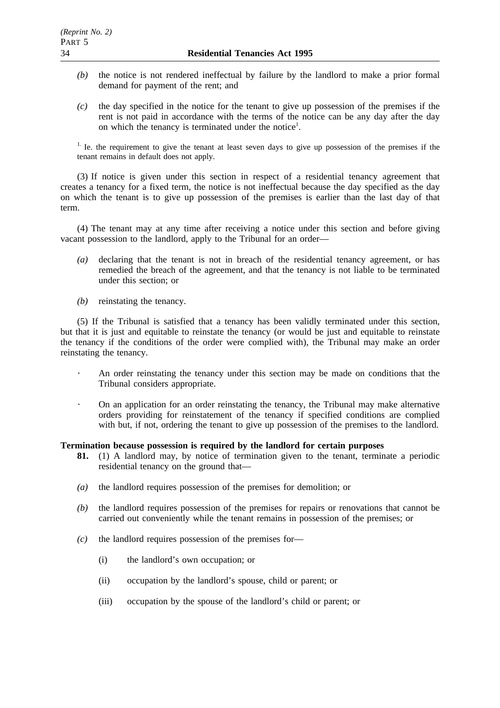- *(b)* the notice is not rendered ineffectual by failure by the landlord to make a prior formal demand for payment of the rent; and
- *(c)* the day specified in the notice for the tenant to give up possession of the premises if the rent is not paid in accordance with the terms of the notice can be any day after the day on which the tenancy is terminated under the notice<sup>1</sup>.

<sup>1.</sup> Ie. the requirement to give the tenant at least seven days to give up possession of the premises if the tenant remains in default does not apply.

(3) If notice is given under this section in respect of a residential tenancy agreement that creates a tenancy for a fixed term, the notice is not ineffectual because the day specified as the day on which the tenant is to give up possession of the premises is earlier than the last day of that term.

(4) The tenant may at any time after receiving a notice under this section and before giving vacant possession to the landlord, apply to the Tribunal for an order—

- *(a)* declaring that the tenant is not in breach of the residential tenancy agreement, or has remedied the breach of the agreement, and that the tenancy is not liable to be terminated under this section; or
- *(b)* reinstating the tenancy.

(5) If the Tribunal is satisfied that a tenancy has been validly terminated under this section, but that it is just and equitable to reinstate the tenancy (or would be just and equitable to reinstate the tenancy if the conditions of the order were complied with), the Tribunal may make an order reinstating the tenancy.

- An order reinstating the tenancy under this section may be made on conditions that the Tribunal considers appropriate.
- On an application for an order reinstating the tenancy, the Tribunal may make alternative orders providing for reinstatement of the tenancy if specified conditions are complied with but, if not, ordering the tenant to give up possession of the premises to the landlord.

# **Termination because possession is required by the landlord for certain purposes**

- **81.** (1) A landlord may, by notice of termination given to the tenant, terminate a periodic residential tenancy on the ground that—
- *(a)* the landlord requires possession of the premises for demolition; or
- *(b)* the landlord requires possession of the premises for repairs or renovations that cannot be carried out conveniently while the tenant remains in possession of the premises; or
- *(c)* the landlord requires possession of the premises for—
	- (i) the landlord's own occupation; or
	- (ii) occupation by the landlord's spouse, child or parent; or
	- (iii) occupation by the spouse of the landlord's child or parent; or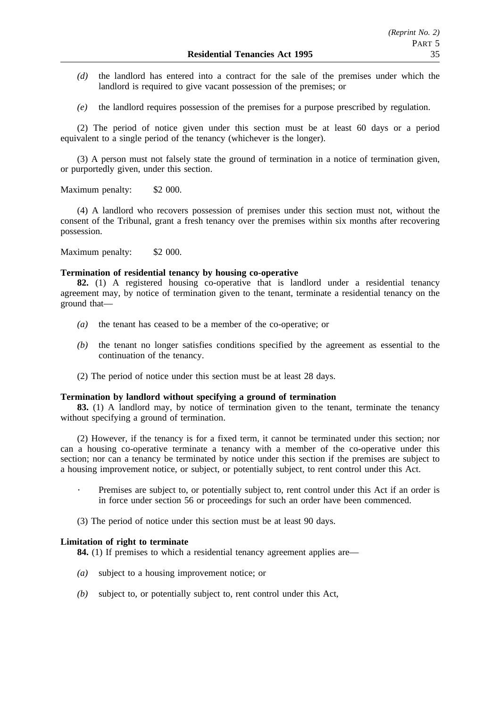- *(d)* the landlord has entered into a contract for the sale of the premises under which the landlord is required to give vacant possession of the premises; or
- *(e)* the landlord requires possession of the premises for a purpose prescribed by regulation.

(2) The period of notice given under this section must be at least 60 days or a period equivalent to a single period of the tenancy (whichever is the longer).

(3) A person must not falsely state the ground of termination in a notice of termination given, or purportedly given, under this section.

Maximum penalty: \$2 000.

(4) A landlord who recovers possession of premises under this section must not, without the consent of the Tribunal, grant a fresh tenancy over the premises within six months after recovering possession.

Maximum penalty: \$2 000.

### **Termination of residential tenancy by housing co-operative**

**82.** (1) A registered housing co-operative that is landlord under a residential tenancy agreement may, by notice of termination given to the tenant, terminate a residential tenancy on the ground that—

- *(a)* the tenant has ceased to be a member of the co-operative; or
- *(b)* the tenant no longer satisfies conditions specified by the agreement as essential to the continuation of the tenancy.
- (2) The period of notice under this section must be at least 28 days.

#### **Termination by landlord without specifying a ground of termination**

**83.** (1) A landlord may, by notice of termination given to the tenant, terminate the tenancy without specifying a ground of termination.

(2) However, if the tenancy is for a fixed term, it cannot be terminated under this section; nor can a housing co-operative terminate a tenancy with a member of the co-operative under this section; nor can a tenancy be terminated by notice under this section if the premises are subject to a housing improvement notice, or subject, or potentially subject, to rent control under this Act.

Premises are subject to, or potentially subject to, rent control under this Act if an order is in force under section 56 or proceedings for such an order have been commenced.

(3) The period of notice under this section must be at least 90 days.

### **Limitation of right to terminate**

**84.** (1) If premises to which a residential tenancy agreement applies are—

- *(a)* subject to a housing improvement notice; or
- *(b)* subject to, or potentially subject to, rent control under this Act,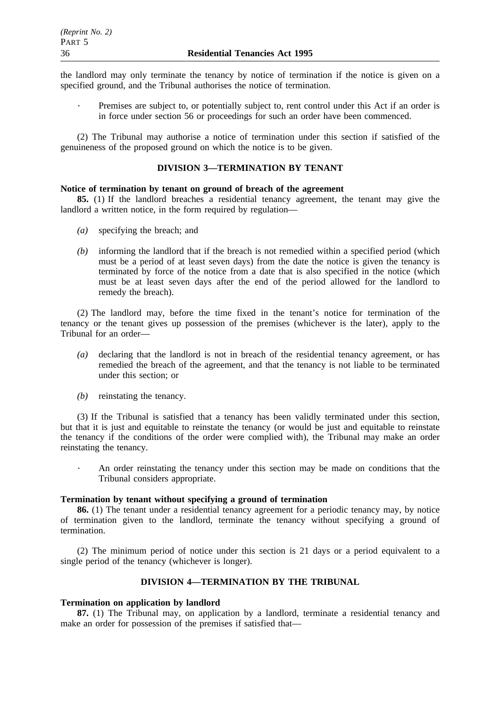the landlord may only terminate the tenancy by notice of termination if the notice is given on a specified ground, and the Tribunal authorises the notice of termination.

Premises are subject to, or potentially subject to, rent control under this Act if an order is in force under section 56 or proceedings for such an order have been commenced.

(2) The Tribunal may authorise a notice of termination under this section if satisfied of the genuineness of the proposed ground on which the notice is to be given.

# **DIVISION 3—TERMINATION BY TENANT**

#### **Notice of termination by tenant on ground of breach of the agreement**

**85.** (1) If the landlord breaches a residential tenancy agreement, the tenant may give the landlord a written notice, in the form required by regulation—

- *(a)* specifying the breach; and
- *(b)* informing the landlord that if the breach is not remedied within a specified period (which must be a period of at least seven days) from the date the notice is given the tenancy is terminated by force of the notice from a date that is also specified in the notice (which must be at least seven days after the end of the period allowed for the landlord to remedy the breach).

(2) The landlord may, before the time fixed in the tenant's notice for termination of the tenancy or the tenant gives up possession of the premises (whichever is the later), apply to the Tribunal for an order—

- *(a)* declaring that the landlord is not in breach of the residential tenancy agreement, or has remedied the breach of the agreement, and that the tenancy is not liable to be terminated under this section; or
- *(b)* reinstating the tenancy.

(3) If the Tribunal is satisfied that a tenancy has been validly terminated under this section, but that it is just and equitable to reinstate the tenancy (or would be just and equitable to reinstate the tenancy if the conditions of the order were complied with), the Tribunal may make an order reinstating the tenancy.

An order reinstating the tenancy under this section may be made on conditions that the Tribunal considers appropriate.

#### **Termination by tenant without specifying a ground of termination**

**86.** (1) The tenant under a residential tenancy agreement for a periodic tenancy may, by notice of termination given to the landlord, terminate the tenancy without specifying a ground of termination.

(2) The minimum period of notice under this section is 21 days or a period equivalent to a single period of the tenancy (whichever is longer).

# **DIVISION 4—TERMINATION BY THE TRIBUNAL**

### **Termination on application by landlord**

**87.** (1) The Tribunal may, on application by a landlord, terminate a residential tenancy and make an order for possession of the premises if satisfied that—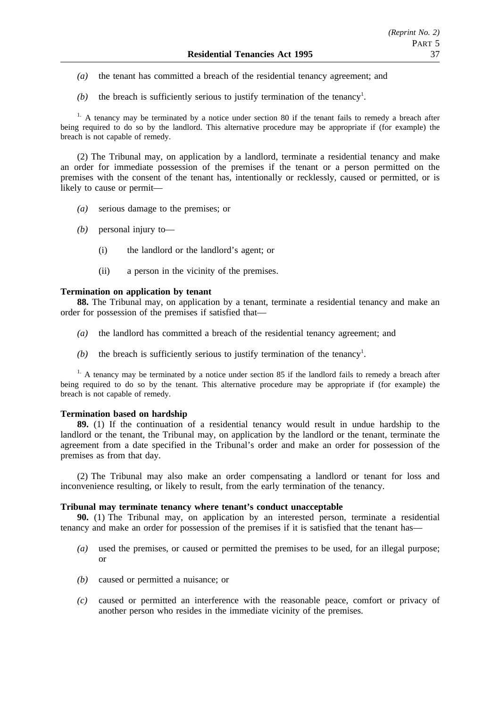- *(a)* the tenant has committed a breach of the residential tenancy agreement; and
- $(b)$  the breach is sufficiently serious to justify termination of the tenancy<sup>1</sup>.

<sup>1.</sup> A tenancy may be terminated by a notice under section 80 if the tenant fails to remedy a breach after being required to do so by the landlord. This alternative procedure may be appropriate if (for example) the breach is not capable of remedy.

(2) The Tribunal may, on application by a landlord, terminate a residential tenancy and make an order for immediate possession of the premises if the tenant or a person permitted on the premises with the consent of the tenant has, intentionally or recklessly, caused or permitted, or is likely to cause or permit—

- *(a)* serious damage to the premises; or
- *(b)* personal injury to—
	- (i) the landlord or the landlord's agent; or
	- (ii) a person in the vicinity of the premises.

### **Termination on application by tenant**

**88.** The Tribunal may, on application by a tenant, terminate a residential tenancy and make an order for possession of the premises if satisfied that—

- *(a)* the landlord has committed a breach of the residential tenancy agreement; and
- $(b)$  the breach is sufficiently serious to justify termination of the tenancy<sup>1</sup>.

<sup>1.</sup> A tenancy may be terminated by a notice under section 85 if the landlord fails to remedy a breach after being required to do so by the tenant. This alternative procedure may be appropriate if (for example) the breach is not capable of remedy.

#### **Termination based on hardship**

**89.** (1) If the continuation of a residential tenancy would result in undue hardship to the landlord or the tenant, the Tribunal may, on application by the landlord or the tenant, terminate the agreement from a date specified in the Tribunal's order and make an order for possession of the premises as from that day.

(2) The Tribunal may also make an order compensating a landlord or tenant for loss and inconvenience resulting, or likely to result, from the early termination of the tenancy.

#### **Tribunal may terminate tenancy where tenant's conduct unacceptable**

**90.** (1) The Tribunal may, on application by an interested person, terminate a residential tenancy and make an order for possession of the premises if it is satisfied that the tenant has—

- *(a)* used the premises, or caused or permitted the premises to be used, for an illegal purpose; or
- *(b)* caused or permitted a nuisance; or
- *(c)* caused or permitted an interference with the reasonable peace, comfort or privacy of another person who resides in the immediate vicinity of the premises.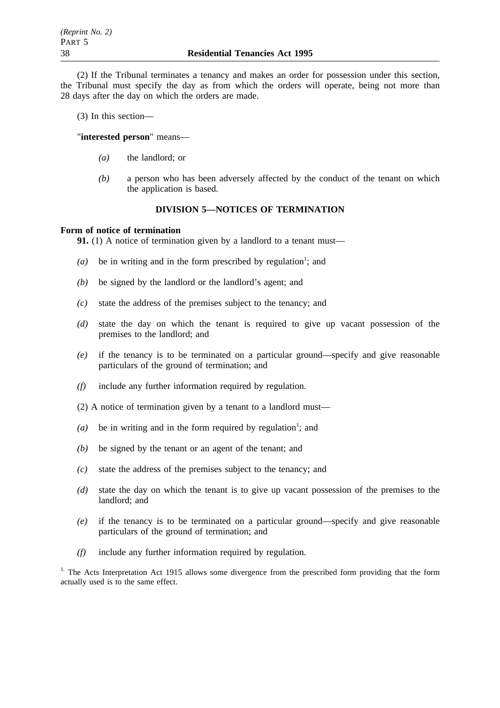(2) If the Tribunal terminates a tenancy and makes an order for possession under this section, the Tribunal must specify the day as from which the orders will operate, being not more than 28 days after the day on which the orders are made.

(3) In this section—

"**interested person**" means—

- *(a)* the landlord; or
- *(b)* a person who has been adversely affected by the conduct of the tenant on which the application is based.

# **DIVISION 5—NOTICES OF TERMINATION**

### **Form of notice of termination**

**91.** (1) A notice of termination given by a landlord to a tenant must—

- $(a)$  be in writing and in the form prescribed by regulation<sup>1</sup>; and
- *(b)* be signed by the landlord or the landlord's agent; and
- *(c)* state the address of the premises subject to the tenancy; and
- *(d)* state the day on which the tenant is required to give up vacant possession of the premises to the landlord; and
- *(e)* if the tenancy is to be terminated on a particular ground—specify and give reasonable particulars of the ground of termination; and
- *(f)* include any further information required by regulation.
- (2) A notice of termination given by a tenant to a landlord must—
- (a) be in writing and in the form required by regulation<sup>1</sup>; and
- *(b)* be signed by the tenant or an agent of the tenant; and
- *(c)* state the address of the premises subject to the tenancy; and
- *(d)* state the day on which the tenant is to give up vacant possession of the premises to the landlord; and
- *(e)* if the tenancy is to be terminated on a particular ground—specify and give reasonable particulars of the ground of termination; and
- *(f)* include any further information required by regulation.

<sup>1.</sup> The Acts Interpretation Act 1915 allows some divergence from the prescribed form providing that the form actually used is to the same effect.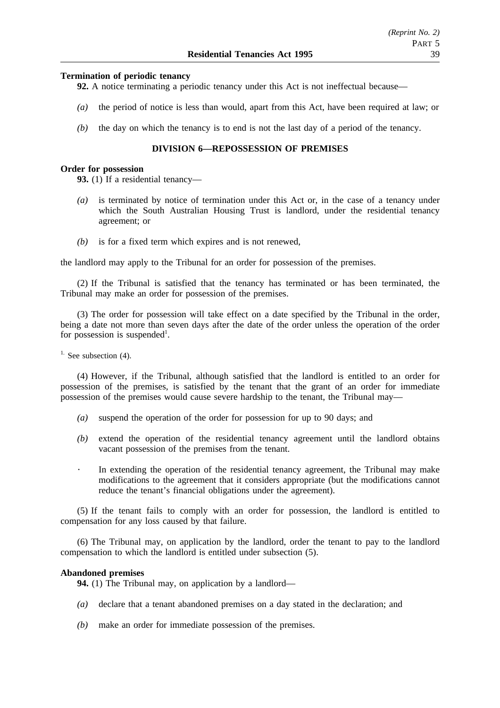### **Termination of periodic tenancy**

**92.** A notice terminating a periodic tenancy under this Act is not ineffectual because—

- *(a)* the period of notice is less than would, apart from this Act, have been required at law; or
- *(b)* the day on which the tenancy is to end is not the last day of a period of the tenancy.

### **DIVISION 6—REPOSSESSION OF PREMISES**

#### **Order for possession**

**93.** (1) If a residential tenancy—

- *(a)* is terminated by notice of termination under this Act or, in the case of a tenancy under which the South Australian Housing Trust is landlord, under the residential tenancy agreement; or
- *(b)* is for a fixed term which expires and is not renewed,

the landlord may apply to the Tribunal for an order for possession of the premises.

(2) If the Tribunal is satisfied that the tenancy has terminated or has been terminated, the Tribunal may make an order for possession of the premises.

(3) The order for possession will take effect on a date specified by the Tribunal in the order, being a date not more than seven days after the date of the order unless the operation of the order for possession is suspended<sup>1</sup>.

<sup>1.</sup> See subsection  $(4)$ .

(4) However, if the Tribunal, although satisfied that the landlord is entitled to an order for possession of the premises, is satisfied by the tenant that the grant of an order for immediate possession of the premises would cause severe hardship to the tenant, the Tribunal may—

- *(a)* suspend the operation of the order for possession for up to 90 days; and
- *(b)* extend the operation of the residential tenancy agreement until the landlord obtains vacant possession of the premises from the tenant.
- $\bullet$  . In extending the operation of the residential tenancy agreement, the Tribunal may make modifications to the agreement that it considers appropriate (but the modifications cannot reduce the tenant's financial obligations under the agreement).

(5) If the tenant fails to comply with an order for possession, the landlord is entitled to compensation for any loss caused by that failure.

(6) The Tribunal may, on application by the landlord, order the tenant to pay to the landlord compensation to which the landlord is entitled under subsection (5).

#### **Abandoned premises**

**94.** (1) The Tribunal may, on application by a landlord—

- *(a)* declare that a tenant abandoned premises on a day stated in the declaration; and
- *(b)* make an order for immediate possession of the premises.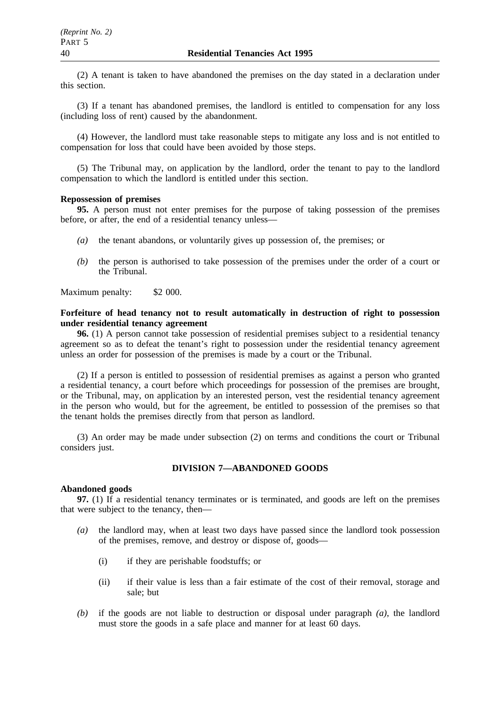(2) A tenant is taken to have abandoned the premises on the day stated in a declaration under this section.

(3) If a tenant has abandoned premises, the landlord is entitled to compensation for any loss (including loss of rent) caused by the abandonment.

(4) However, the landlord must take reasonable steps to mitigate any loss and is not entitled to compensation for loss that could have been avoided by those steps.

(5) The Tribunal may, on application by the landlord, order the tenant to pay to the landlord compensation to which the landlord is entitled under this section.

# **Repossession of premises**

**95.** A person must not enter premises for the purpose of taking possession of the premises before, or after, the end of a residential tenancy unless—

- *(a)* the tenant abandons, or voluntarily gives up possession of, the premises; or
- *(b)* the person is authorised to take possession of the premises under the order of a court or the Tribunal.

Maximum penalty: \$2 000.

# **Forfeiture of head tenancy not to result automatically in destruction of right to possession under residential tenancy agreement**

**96.** (1) A person cannot take possession of residential premises subject to a residential tenancy agreement so as to defeat the tenant's right to possession under the residential tenancy agreement unless an order for possession of the premises is made by a court or the Tribunal.

(2) If a person is entitled to possession of residential premises as against a person who granted a residential tenancy, a court before which proceedings for possession of the premises are brought, or the Tribunal, may, on application by an interested person, vest the residential tenancy agreement in the person who would, but for the agreement, be entitled to possession of the premises so that the tenant holds the premises directly from that person as landlord.

(3) An order may be made under subsection (2) on terms and conditions the court or Tribunal considers just.

# **DIVISION 7—ABANDONED GOODS**

### **Abandoned goods**

**97.** (1) If a residential tenancy terminates or is terminated, and goods are left on the premises that were subject to the tenancy, then—

- *(a)* the landlord may, when at least two days have passed since the landlord took possession of the premises, remove, and destroy or dispose of, goods—
	- (i) if they are perishable foodstuffs; or
	- (ii) if their value is less than a fair estimate of the cost of their removal, storage and sale; but
- *(b)* if the goods are not liable to destruction or disposal under paragraph *(a)*, the landlord must store the goods in a safe place and manner for at least 60 days.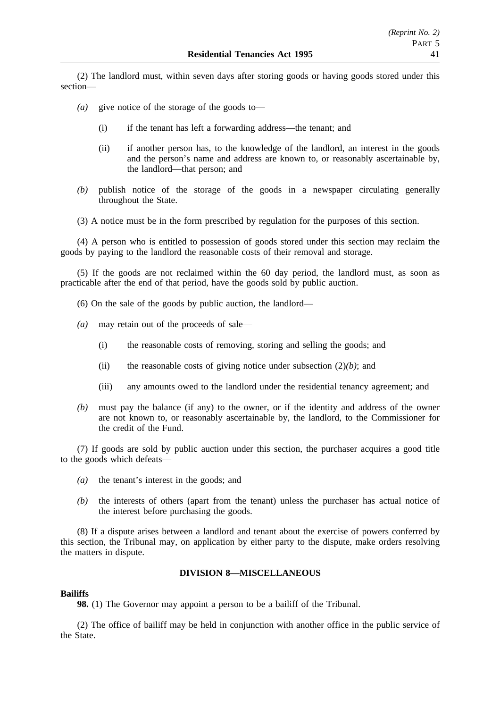(2) The landlord must, within seven days after storing goods or having goods stored under this section—

- *(a)* give notice of the storage of the goods to—
	- (i) if the tenant has left a forwarding address—the tenant; and
	- (ii) if another person has, to the knowledge of the landlord, an interest in the goods and the person's name and address are known to, or reasonably ascertainable by, the landlord—that person; and
- *(b)* publish notice of the storage of the goods in a newspaper circulating generally throughout the State.
- (3) A notice must be in the form prescribed by regulation for the purposes of this section.

(4) A person who is entitled to possession of goods stored under this section may reclaim the goods by paying to the landlord the reasonable costs of their removal and storage.

(5) If the goods are not reclaimed within the 60 day period, the landlord must, as soon as practicable after the end of that period, have the goods sold by public auction.

- (6) On the sale of the goods by public auction, the landlord—
- *(a)* may retain out of the proceeds of sale—
	- (i) the reasonable costs of removing, storing and selling the goods; and
	- (ii) the reasonable costs of giving notice under subsection (2)*(b)*; and
	- (iii) any amounts owed to the landlord under the residential tenancy agreement; and
- *(b)* must pay the balance (if any) to the owner, or if the identity and address of the owner are not known to, or reasonably ascertainable by, the landlord, to the Commissioner for the credit of the Fund.

(7) If goods are sold by public auction under this section, the purchaser acquires a good title to the goods which defeats—

- *(a)* the tenant's interest in the goods; and
- *(b)* the interests of others (apart from the tenant) unless the purchaser has actual notice of the interest before purchasing the goods.

(8) If a dispute arises between a landlord and tenant about the exercise of powers conferred by this section, the Tribunal may, on application by either party to the dispute, make orders resolving the matters in dispute.

#### **DIVISION 8—MISCELLANEOUS**

### **Bailiffs**

**98.** (1) The Governor may appoint a person to be a bailiff of the Tribunal.

(2) The office of bailiff may be held in conjunction with another office in the public service of the State.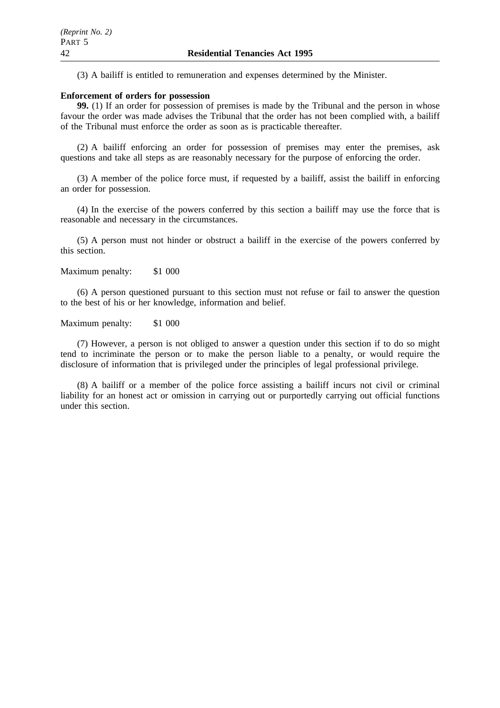(3) A bailiff is entitled to remuneration and expenses determined by the Minister.

#### **Enforcement of orders for possession**

**99.** (1) If an order for possession of premises is made by the Tribunal and the person in whose favour the order was made advises the Tribunal that the order has not been complied with, a bailiff of the Tribunal must enforce the order as soon as is practicable thereafter.

(2) A bailiff enforcing an order for possession of premises may enter the premises, ask questions and take all steps as are reasonably necessary for the purpose of enforcing the order.

(3) A member of the police force must, if requested by a bailiff, assist the bailiff in enforcing an order for possession.

(4) In the exercise of the powers conferred by this section a bailiff may use the force that is reasonable and necessary in the circumstances.

(5) A person must not hinder or obstruct a bailiff in the exercise of the powers conferred by this section.

Maximum penalty: \$1 000

(6) A person questioned pursuant to this section must not refuse or fail to answer the question to the best of his or her knowledge, information and belief.

Maximum penalty: \$1 000

(7) However, a person is not obliged to answer a question under this section if to do so might tend to incriminate the person or to make the person liable to a penalty, or would require the disclosure of information that is privileged under the principles of legal professional privilege.

(8) A bailiff or a member of the police force assisting a bailiff incurs not civil or criminal liability for an honest act or omission in carrying out or purportedly carrying out official functions under this section.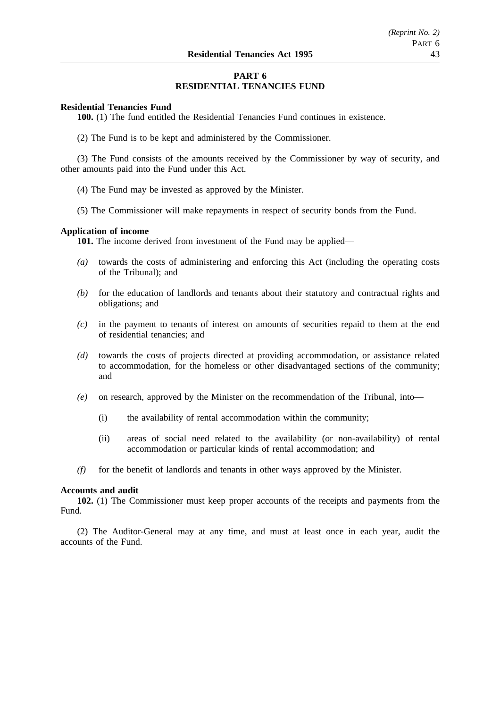# **PART 6 RESIDENTIAL TENANCIES FUND**

### **Residential Tenancies Fund**

**100.** (1) The fund entitled the Residential Tenancies Fund continues in existence.

(2) The Fund is to be kept and administered by the Commissioner.

(3) The Fund consists of the amounts received by the Commissioner by way of security, and other amounts paid into the Fund under this Act.

- (4) The Fund may be invested as approved by the Minister.
- (5) The Commissioner will make repayments in respect of security bonds from the Fund.

### **Application of income**

**101.** The income derived from investment of the Fund may be applied—

- *(a)* towards the costs of administering and enforcing this Act (including the operating costs of the Tribunal); and
- *(b)* for the education of landlords and tenants about their statutory and contractual rights and obligations; and
- *(c)* in the payment to tenants of interest on amounts of securities repaid to them at the end of residential tenancies; and
- *(d)* towards the costs of projects directed at providing accommodation, or assistance related to accommodation, for the homeless or other disadvantaged sections of the community; and
- *(e)* on research, approved by the Minister on the recommendation of the Tribunal, into—
	- (i) the availability of rental accommodation within the community;
	- (ii) areas of social need related to the availability (or non-availability) of rental accommodation or particular kinds of rental accommodation; and
- *(f)* for the benefit of landlords and tenants in other ways approved by the Minister.

#### **Accounts and audit**

**102.** (1) The Commissioner must keep proper accounts of the receipts and payments from the Fund.

(2) The Auditor-General may at any time, and must at least once in each year, audit the accounts of the Fund.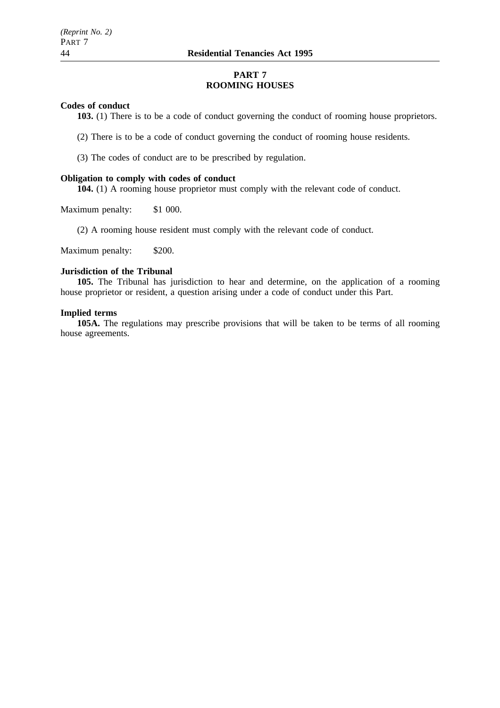# **PART 7 ROOMING HOUSES**

### **Codes of conduct**

**103.** (1) There is to be a code of conduct governing the conduct of rooming house proprietors.

(2) There is to be a code of conduct governing the conduct of rooming house residents.

(3) The codes of conduct are to be prescribed by regulation.

#### **Obligation to comply with codes of conduct**

**104.** (1) A rooming house proprietor must comply with the relevant code of conduct.

Maximum penalty: \$1 000.

(2) A rooming house resident must comply with the relevant code of conduct.

Maximum penalty: \$200.

# **Jurisdiction of the Tribunal**

**105.** The Tribunal has jurisdiction to hear and determine, on the application of a rooming house proprietor or resident, a question arising under a code of conduct under this Part.

## **Implied terms**

**105A.** The regulations may prescribe provisions that will be taken to be terms of all rooming house agreements.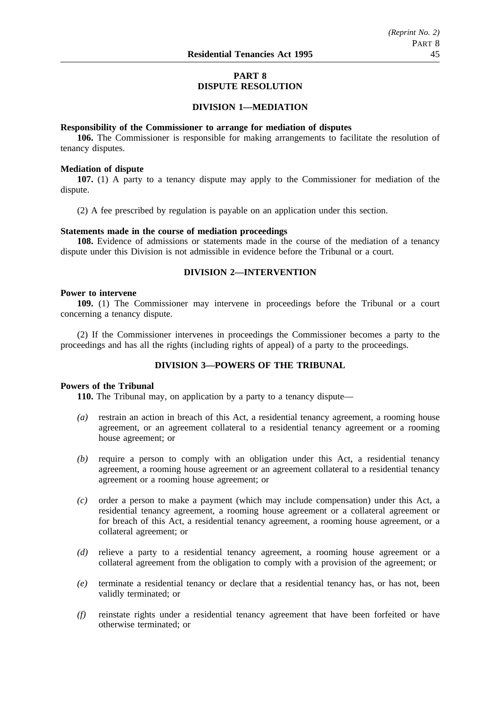# **PART 8 DISPUTE RESOLUTION**

### **DIVISION 1—MEDIATION**

#### **Responsibility of the Commissioner to arrange for mediation of disputes**

**106.** The Commissioner is responsible for making arrangements to facilitate the resolution of tenancy disputes.

#### **Mediation of dispute**

**107.** (1) A party to a tenancy dispute may apply to the Commissioner for mediation of the dispute.

(2) A fee prescribed by regulation is payable on an application under this section.

### **Statements made in the course of mediation proceedings**

**108.** Evidence of admissions or statements made in the course of the mediation of a tenancy dispute under this Division is not admissible in evidence before the Tribunal or a court.

# **DIVISION 2—INTERVENTION**

### **Power to intervene**

**109.** (1) The Commissioner may intervene in proceedings before the Tribunal or a court concerning a tenancy dispute.

(2) If the Commissioner intervenes in proceedings the Commissioner becomes a party to the proceedings and has all the rights (including rights of appeal) of a party to the proceedings.

# **DIVISION 3—POWERS OF THE TRIBUNAL**

# **Powers of the Tribunal**

**110.** The Tribunal may, on application by a party to a tenancy dispute—

- *(a)* restrain an action in breach of this Act, a residential tenancy agreement, a rooming house agreement, or an agreement collateral to a residential tenancy agreement or a rooming house agreement; or
- *(b)* require a person to comply with an obligation under this Act, a residential tenancy agreement, a rooming house agreement or an agreement collateral to a residential tenancy agreement or a rooming house agreement; or
- *(c)* order a person to make a payment (which may include compensation) under this Act, a residential tenancy agreement, a rooming house agreement or a collateral agreement or for breach of this Act, a residential tenancy agreement, a rooming house agreement, or a collateral agreement; or
- *(d)* relieve a party to a residential tenancy agreement, a rooming house agreement or a collateral agreement from the obligation to comply with a provision of the agreement; or
- *(e)* terminate a residential tenancy or declare that a residential tenancy has, or has not, been validly terminated; or
- *(f)* reinstate rights under a residential tenancy agreement that have been forfeited or have otherwise terminated; or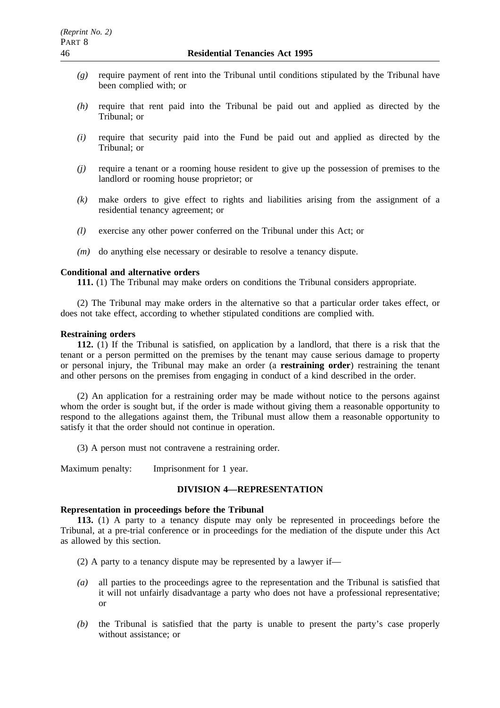- *(g)* require payment of rent into the Tribunal until conditions stipulated by the Tribunal have been complied with; or
- *(h)* require that rent paid into the Tribunal be paid out and applied as directed by the Tribunal; or
- *(i)* require that security paid into the Fund be paid out and applied as directed by the Tribunal; or
- *(j)* require a tenant or a rooming house resident to give up the possession of premises to the landlord or rooming house proprietor; or
- *(k)* make orders to give effect to rights and liabilities arising from the assignment of a residential tenancy agreement; or
- *(l)* exercise any other power conferred on the Tribunal under this Act; or
- *(m)* do anything else necessary or desirable to resolve a tenancy dispute.

# **Conditional and alternative orders**

**111.** (1) The Tribunal may make orders on conditions the Tribunal considers appropriate.

(2) The Tribunal may make orders in the alternative so that a particular order takes effect, or does not take effect, according to whether stipulated conditions are complied with.

#### **Restraining orders**

**112.** (1) If the Tribunal is satisfied, on application by a landlord, that there is a risk that the tenant or a person permitted on the premises by the tenant may cause serious damage to property or personal injury, the Tribunal may make an order (a **restraining order**) restraining the tenant and other persons on the premises from engaging in conduct of a kind described in the order.

(2) An application for a restraining order may be made without notice to the persons against whom the order is sought but, if the order is made without giving them a reasonable opportunity to respond to the allegations against them, the Tribunal must allow them a reasonable opportunity to satisfy it that the order should not continue in operation.

(3) A person must not contravene a restraining order.

Maximum penalty: Imprisonment for 1 year.

### **DIVISION 4—REPRESENTATION**

# **Representation in proceedings before the Tribunal**

**113.** (1) A party to a tenancy dispute may only be represented in proceedings before the Tribunal, at a pre-trial conference or in proceedings for the mediation of the dispute under this Act as allowed by this section.

(2) A party to a tenancy dispute may be represented by a lawyer if—

- *(a)* all parties to the proceedings agree to the representation and the Tribunal is satisfied that it will not unfairly disadvantage a party who does not have a professional representative; or
- *(b)* the Tribunal is satisfied that the party is unable to present the party's case properly without assistance; or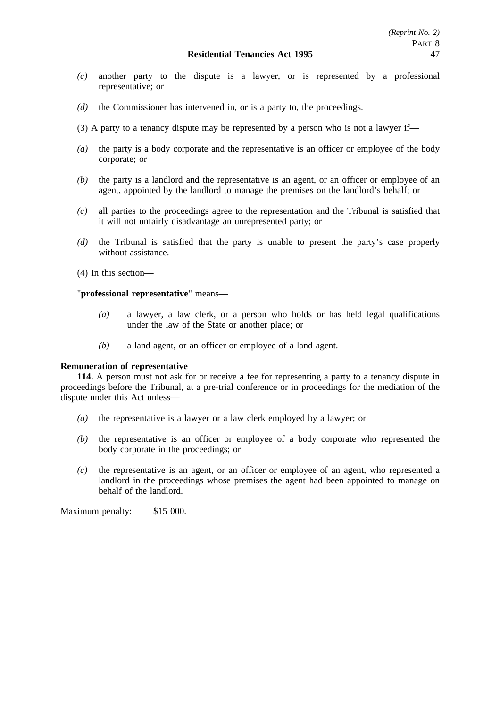- *(c)* another party to the dispute is a lawyer, or is represented by a professional representative; or
- *(d)* the Commissioner has intervened in, or is a party to, the proceedings.
- (3) A party to a tenancy dispute may be represented by a person who is not a lawyer if—
- *(a)* the party is a body corporate and the representative is an officer or employee of the body corporate; or
- *(b)* the party is a landlord and the representative is an agent, or an officer or employee of an agent, appointed by the landlord to manage the premises on the landlord's behalf; or
- *(c)* all parties to the proceedings agree to the representation and the Tribunal is satisfied that it will not unfairly disadvantage an unrepresented party; or
- *(d)* the Tribunal is satisfied that the party is unable to present the party's case properly without assistance.
- (4) In this section—

# "**professional representative**" means—

- *(a)* a lawyer, a law clerk, or a person who holds or has held legal qualifications under the law of the State or another place; or
- *(b)* a land agent, or an officer or employee of a land agent.

# **Remuneration of representative**

**114.** A person must not ask for or receive a fee for representing a party to a tenancy dispute in proceedings before the Tribunal, at a pre-trial conference or in proceedings for the mediation of the dispute under this Act unless—

- *(a)* the representative is a lawyer or a law clerk employed by a lawyer; or
- *(b)* the representative is an officer or employee of a body corporate who represented the body corporate in the proceedings; or
- *(c)* the representative is an agent, or an officer or employee of an agent, who represented a landlord in the proceedings whose premises the agent had been appointed to manage on behalf of the landlord.

Maximum penalty: \$15 000.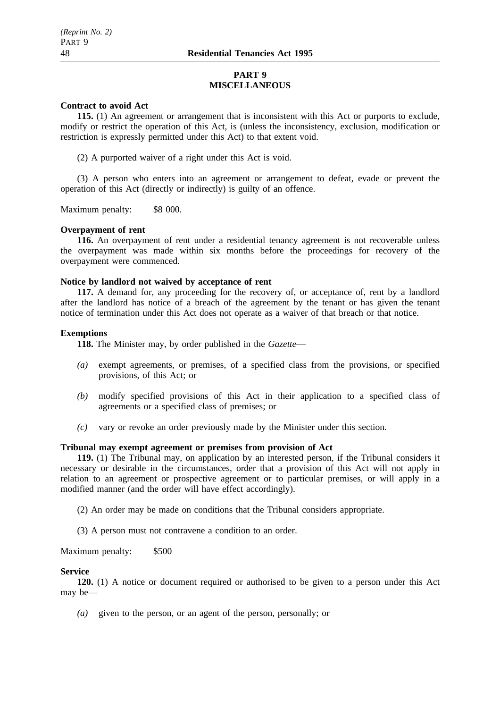### **PART 9 MISCELLANEOUS**

#### **Contract to avoid Act**

**115.** (1) An agreement or arrangement that is inconsistent with this Act or purports to exclude, modify or restrict the operation of this Act, is (unless the inconsistency, exclusion, modification or restriction is expressly permitted under this Act) to that extent void.

(2) A purported waiver of a right under this Act is void.

(3) A person who enters into an agreement or arrangement to defeat, evade or prevent the operation of this Act (directly or indirectly) is guilty of an offence.

Maximum penalty: \$8 000.

### **Overpayment of rent**

**116.** An overpayment of rent under a residential tenancy agreement is not recoverable unless the overpayment was made within six months before the proceedings for recovery of the overpayment were commenced.

### **Notice by landlord not waived by acceptance of rent**

**117.** A demand for, any proceeding for the recovery of, or acceptance of, rent by a landlord after the landlord has notice of a breach of the agreement by the tenant or has given the tenant notice of termination under this Act does not operate as a waiver of that breach or that notice.

### **Exemptions**

**118.** The Minister may, by order published in the *Gazette*—

- *(a)* exempt agreements, or premises, of a specified class from the provisions, or specified provisions, of this Act; or
- *(b)* modify specified provisions of this Act in their application to a specified class of agreements or a specified class of premises; or
- *(c)* vary or revoke an order previously made by the Minister under this section.

# **Tribunal may exempt agreement or premises from provision of Act**

**119.** (1) The Tribunal may, on application by an interested person, if the Tribunal considers it necessary or desirable in the circumstances, order that a provision of this Act will not apply in relation to an agreement or prospective agreement or to particular premises, or will apply in a modified manner (and the order will have effect accordingly).

(2) An order may be made on conditions that the Tribunal considers appropriate.

(3) A person must not contravene a condition to an order.

Maximum penalty: \$500

### **Service**

**120.** (1) A notice or document required or authorised to be given to a person under this Act may be—

*(a)* given to the person, or an agent of the person, personally; or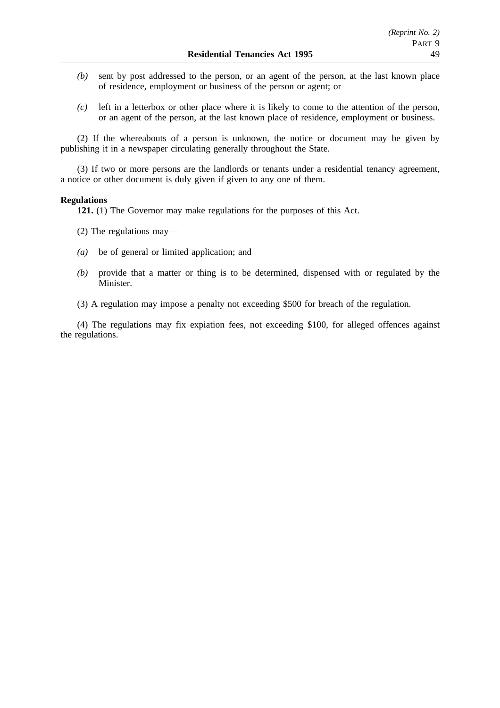- *(b)* sent by post addressed to the person, or an agent of the person, at the last known place of residence, employment or business of the person or agent; or
- *(c)* left in a letterbox or other place where it is likely to come to the attention of the person, or an agent of the person, at the last known place of residence, employment or business.

(2) If the whereabouts of a person is unknown, the notice or document may be given by publishing it in a newspaper circulating generally throughout the State.

(3) If two or more persons are the landlords or tenants under a residential tenancy agreement, a notice or other document is duly given if given to any one of them.

### **Regulations**

**121.** (1) The Governor may make regulations for the purposes of this Act.

- (2) The regulations may—
- *(a)* be of general or limited application; and
- *(b)* provide that a matter or thing is to be determined, dispensed with or regulated by the Minister.
- (3) A regulation may impose a penalty not exceeding \$500 for breach of the regulation.

(4) The regulations may fix expiation fees, not exceeding \$100, for alleged offences against the regulations.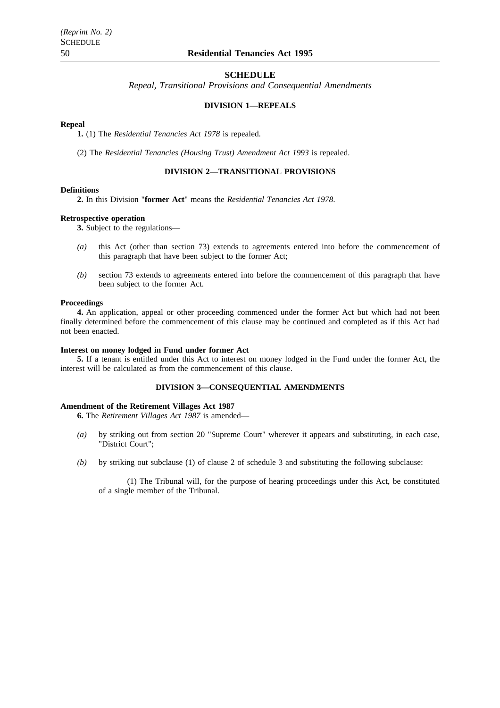#### **SCHEDULE**

*Repeal, Transitional Provisions and Consequential Amendments*

### **DIVISION 1—REPEALS**

### **Repeal**

**1.** (1) The *Residential Tenancies Act 1978* is repealed.

(2) The *Residential Tenancies (Housing Trust) Amendment Act 1993* is repealed.

# **DIVISION 2—TRANSITIONAL PROVISIONS**

#### **Definitions**

**2.** In this Division "**former Act**" means the *Residential Tenancies Act 1978*.

#### **Retrospective operation**

**3.** Subject to the regulations—

- *(a)* this Act (other than section 73) extends to agreements entered into before the commencement of this paragraph that have been subject to the former Act;
- *(b)* section 73 extends to agreements entered into before the commencement of this paragraph that have been subject to the former Act.

#### **Proceedings**

**4.** An application, appeal or other proceeding commenced under the former Act but which had not been finally determined before the commencement of this clause may be continued and completed as if this Act had not been enacted.

#### **Interest on money lodged in Fund under former Act**

**5.** If a tenant is entitled under this Act to interest on money lodged in the Fund under the former Act, the interest will be calculated as from the commencement of this clause.

### **DIVISION 3—CONSEQUENTIAL AMENDMENTS**

#### **Amendment of the Retirement Villages Act 1987**

**6.** The *Retirement Villages Act 1987* is amended—

- *(a)* by striking out from section 20 "Supreme Court" wherever it appears and substituting, in each case, "District Court";
- *(b)* by striking out subclause (1) of clause 2 of schedule 3 and substituting the following subclause:

(1) The Tribunal will, for the purpose of hearing proceedings under this Act, be constituted of a single member of the Tribunal.